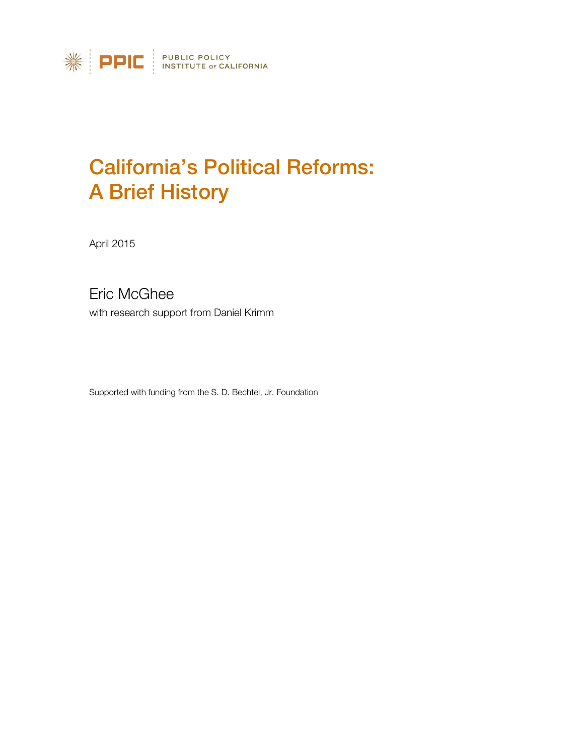

# California's Political Reforms: A Brief History

April 2015

## Eric McGhee

with research support from Daniel Krimm

Supported with funding from the S. D. Bechtel, Jr. Foundation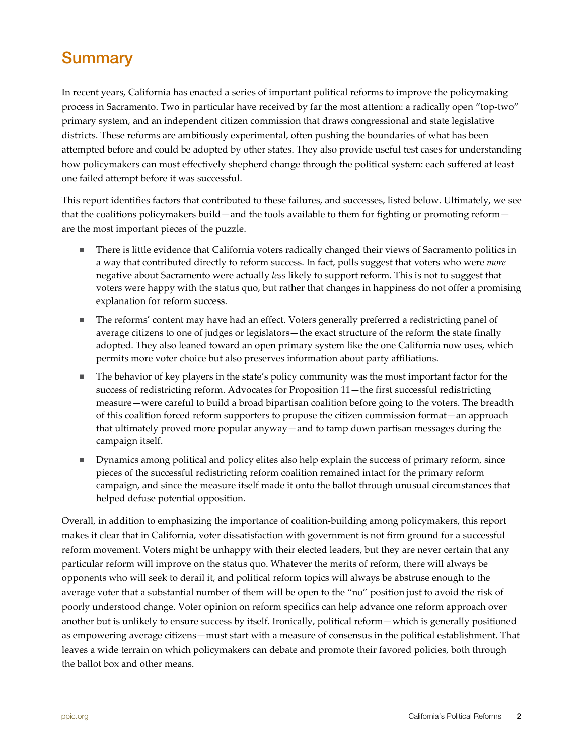## <span id="page-1-0"></span>**Summary**

In recent years, California has enacted a series of important political reforms to improve the policymaking process in Sacramento. Two in particular have received by far the most attention: a radically open "top-two" primary system, and an independent citizen commission that draws congressional and state legislative districts. These reforms are ambitiously experimental, often pushing the boundaries of what has been attempted before and could be adopted by other states. They also provide useful test cases for understanding how policymakers can most effectively shepherd change through the political system: each suffered at least one failed attempt before it was successful.

This report identifies factors that contributed to these failures, and successes, listed below. Ultimately, we see that the coalitions policymakers build—and the tools available to them for fighting or promoting reform are the most important pieces of the puzzle.

- **There is little evidence that California voters radically changed their views of Sacramento politics in** a way that contributed directly to reform success. In fact, polls suggest that voters who were *more* negative about Sacramento were actually *less* likely to support reform. This is not to suggest that voters were happy with the status quo, but rather that changes in happiness do not offer a promising explanation for reform success.
- The reforms' content may have had an effect. Voters generally preferred a redistricting panel of average citizens to one of judges or legislators—the exact structure of the reform the state finally adopted. They also leaned toward an open primary system like the one California now uses, which permits more voter choice but also preserves information about party affiliations.
- The behavior of key players in the state's policy community was the most important factor for the success of redistricting reform. Advocates for Proposition 11—the first successful redistricting measure—were careful to build a broad bipartisan coalition before going to the voters. The breadth of this coalition forced reform supporters to propose the citizen commission format—an approach that ultimately proved more popular anyway—and to tamp down partisan messages during the campaign itself.
- **Dynamics among political and policy elites also help explain the success of primary reform, since** pieces of the successful redistricting reform coalition remained intact for the primary reform campaign, and since the measure itself made it onto the ballot through unusual circumstances that helped defuse potential opposition.

Overall, in addition to emphasizing the importance of coalition-building among policymakers, this report makes it clear that in California, voter dissatisfaction with government is not firm ground for a successful reform movement. Voters might be unhappy with their elected leaders, but they are never certain that any particular reform will improve on the status quo. Whatever the merits of reform, there will always be opponents who will seek to derail it, and political reform topics will always be abstruse enough to the average voter that a substantial number of them will be open to the "no" position just to avoid the risk of poorly understood change. Voter opinion on reform specifics can help advance one reform approach over another but is unlikely to ensure success by itself. Ironically, political reform—which is generally positioned as empowering average citizens—must start with a measure of consensus in the political establishment. That leaves a wide terrain on which policymakers can debate and promote their favored policies, both through the ballot box and other means.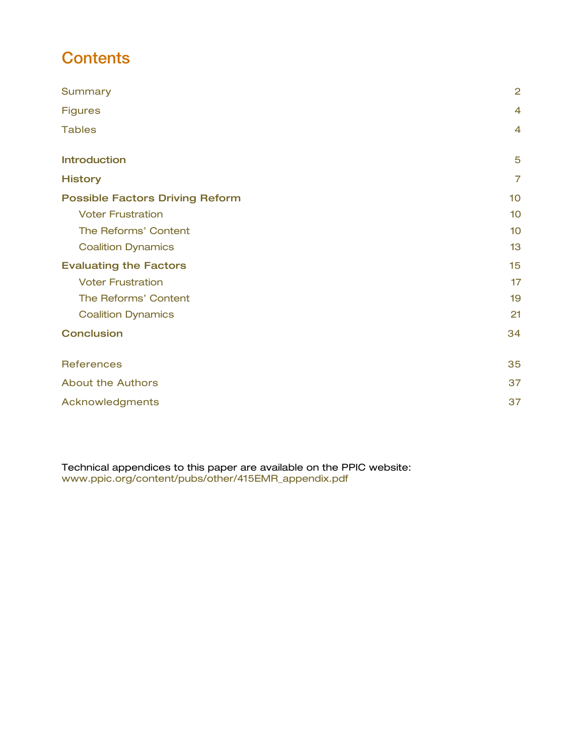## **Contents**

| Summary                                | $\overline{2}$ |
|----------------------------------------|----------------|
| <b>Figures</b>                         | $\overline{4}$ |
| <b>Tables</b>                          | $\overline{4}$ |
| <b>Introduction</b>                    | 5              |
| <b>History</b>                         | $\overline{7}$ |
| <b>Possible Factors Driving Reform</b> | 10             |
| <b>Voter Frustration</b>               | 10             |
| The Reforms' Content                   | 10             |
| <b>Coalition Dynamics</b>              | 13             |
| <b>Evaluating the Factors</b>          | 15             |
| <b>Voter Frustration</b>               | 17             |
| The Reforms' Content                   | 19             |
| <b>Coalition Dynamics</b>              | 21             |
| <b>Conclusion</b>                      | 34             |
| <b>References</b>                      | 35             |
| <b>About the Authors</b>               | 37             |
| Acknowledgments                        | 37             |

Technical appendices to this paper are available on the PPIC website: [www.ppic.org/content/pubs/other/415EMR\\_appendix.pdf](http://www.ppic.org/content/pubs/other/415EMR_appendix.pdf)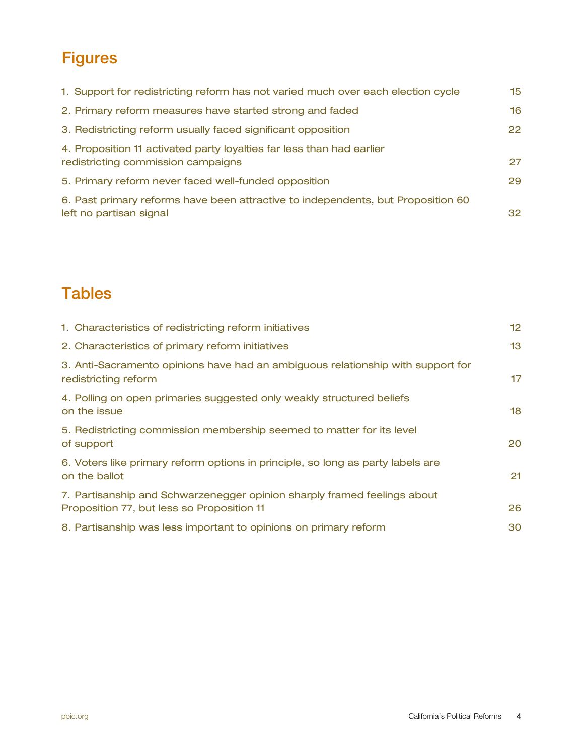# <span id="page-3-0"></span>**Figures**

| 1. Support for redistricting reform has not varied much over each election cycle                            | 15.       |
|-------------------------------------------------------------------------------------------------------------|-----------|
| 2. Primary reform measures have started strong and faded                                                    | 16        |
| 3. Redistricting reform usually faced significant opposition                                                | <b>22</b> |
| 4. Proposition 11 activated party loyalties far less than had earlier<br>redistricting commission campaigns | 27        |
| 5. Primary reform never faced well-funded opposition                                                        | 29        |
| 6. Past primary reforms have been attractive to independents, but Proposition 60<br>left no partisan signal | 32        |

## <span id="page-3-1"></span>**Tables**

| 1. Characteristics of redistricting reform initiatives                                                                 | 12 <sup>°</sup> |
|------------------------------------------------------------------------------------------------------------------------|-----------------|
| 2. Characteristics of primary reform initiatives                                                                       | 13 <sup>°</sup> |
| 3. Anti-Sacramento opinions have had an ambiguous relationship with support for<br>redistricting reform                | 17              |
| 4. Polling on open primaries suggested only weakly structured beliefs<br>on the issue                                  | 18              |
| 5. Redistricting commission membership seemed to matter for its level<br>of support                                    | <b>20</b>       |
| 6. Voters like primary reform options in principle, so long as party labels are<br>on the ballot                       | 21              |
| 7. Partisanship and Schwarzenegger opinion sharply framed feelings about<br>Proposition 77, but less so Proposition 11 | 26              |
| 8. Partisanship was less important to opinions on primary reform                                                       | 30              |
|                                                                                                                        |                 |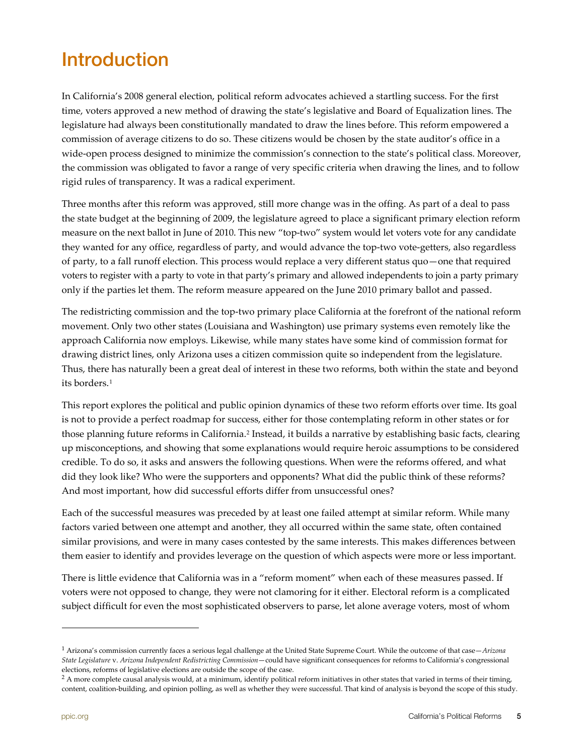# <span id="page-4-0"></span>Introduction

In California's 2008 general election, political reform advocates achieved a startling success. For the first time, voters approved a new method of drawing the state's legislative and Board of Equalization lines. The legislature had always been constitutionally mandated to draw the lines before. This reform empowered a commission of average citizens to do so. These citizens would be chosen by the state auditor's office in a wide-open process designed to minimize the commission's connection to the state's political class. Moreover, the commission was obligated to favor a range of very specific criteria when drawing the lines, and to follow rigid rules of transparency. It was a radical experiment.

Three months after this reform was approved, still more change was in the offing. As part of a deal to pass the state budget at the beginning of 2009, the legislature agreed to place a significant primary election reform measure on the next ballot in June of 2010. This new "top-two" system would let voters vote for any candidate they wanted for any office, regardless of party, and would advance the top-two vote-getters, also regardless of party, to a fall runoff election. This process would replace a very different status quo—one that required voters to register with a party to vote in that party's primary and allowed independents to join a party primary only if the parties let them. The reform measure appeared on the June 2010 primary ballot and passed.

The redistricting commission and the top-two primary place California at the forefront of the national reform movement. Only two other states (Louisiana and Washington) use primary systems even remotely like the approach California now employs. Likewise, while many states have some kind of commission format for drawing district lines, only Arizona uses a citizen commission quite so independent from the legislature. Thus, there has naturally been a great deal of interest in these two reforms, both within the state and beyond its borders.[1](#page-4-1)

This report explores the political and public opinion dynamics of these two reform efforts over time. Its goal is not to provide a perfect roadmap for success, either for those contemplating reform in other states or for those planning future reforms in California.[2](#page-4-2) Instead, it builds a narrative by establishing basic facts, clearing up misconceptions, and showing that some explanations would require heroic assumptions to be considered credible. To do so, it asks and answers the following questions. When were the reforms offered, and what did they look like? Who were the supporters and opponents? What did the public think of these reforms? And most important, how did successful efforts differ from unsuccessful ones?

Each of the successful measures was preceded by at least one failed attempt at similar reform. While many factors varied between one attempt and another, they all occurred within the same state, often contained similar provisions, and were in many cases contested by the same interests. This makes differences between them easier to identify and provides leverage on the question of which aspects were more or less important.

There is little evidence that California was in a "reform moment" when each of these measures passed. If voters were not opposed to change, they were not clamoring for it either. Electoral reform is a complicated subject difficult for even the most sophisticated observers to parse, let alone average voters, most of whom

<span id="page-4-1"></span><sup>1</sup> Arizona's commission currently faces a serious legal challenge at the United State Supreme Court. While the outcome of that case—*Arizona State Legislature* v. *Arizona Independent Redistricting Commission*—could have significant consequences for reforms to California's congressional elections, reforms of legislative elections are outside the scope of the case.

<span id="page-4-2"></span> $<sup>2</sup>$  A more complete causal analysis would, at a minimum, identify political reform initiatives in other states that varied in terms of their timing,</sup> content, coalition-building, and opinion polling, as well as whether they were successful. That kind of analysis is beyond the scope of this study.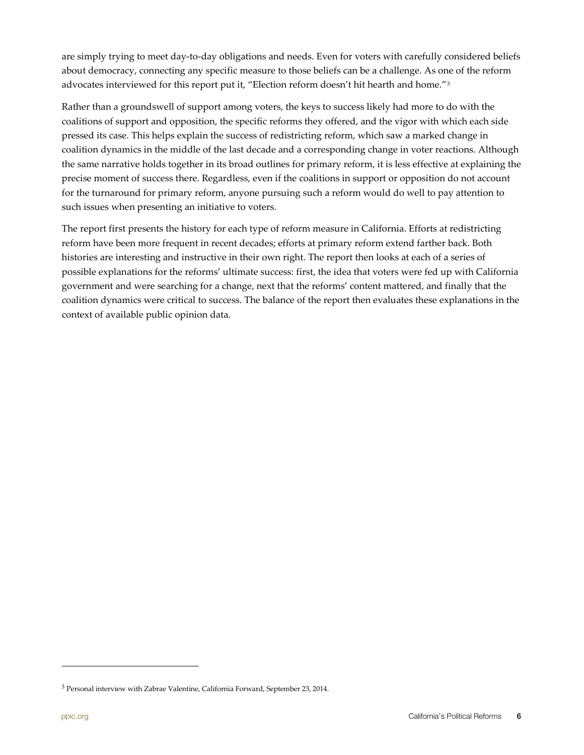are simply trying to meet day-to-day obligations and needs. Even for voters with carefully considered beliefs about democracy, connecting any specific measure to those beliefs can be a challenge. As one of the reform advocates interviewed for this report put it, "Election reform doesn't hit hearth and home."[3](#page-5-0)

Rather than a groundswell of support among voters, the keys to success likely had more to do with the coalitions of support and opposition, the specific reforms they offered, and the vigor with which each side pressed its case. This helps explain the success of redistricting reform, which saw a marked change in coalition dynamics in the middle of the last decade and a corresponding change in voter reactions. Although the same narrative holds together in its broad outlines for primary reform, it is less effective at explaining the precise moment of success there. Regardless, even if the coalitions in support or opposition do not account for the turnaround for primary reform, anyone pursuing such a reform would do well to pay attention to such issues when presenting an initiative to voters.

The report first presents the history for each type of reform measure in California. Efforts at redistricting reform have been more frequent in recent decades; efforts at primary reform extend farther back. Both histories are interesting and instructive in their own right. The report then looks at each of a series of possible explanations for the reforms' ultimate success: first, the idea that voters were fed up with California government and were searching for a change, next that the reforms' content mattered, and finally that the coalition dynamics were critical to success. The balance of the report then evaluates these explanations in the context of available public opinion data.

<span id="page-5-0"></span><sup>3</sup> Personal interview with Zabrae Valentine, California Forward, September 23, 2014.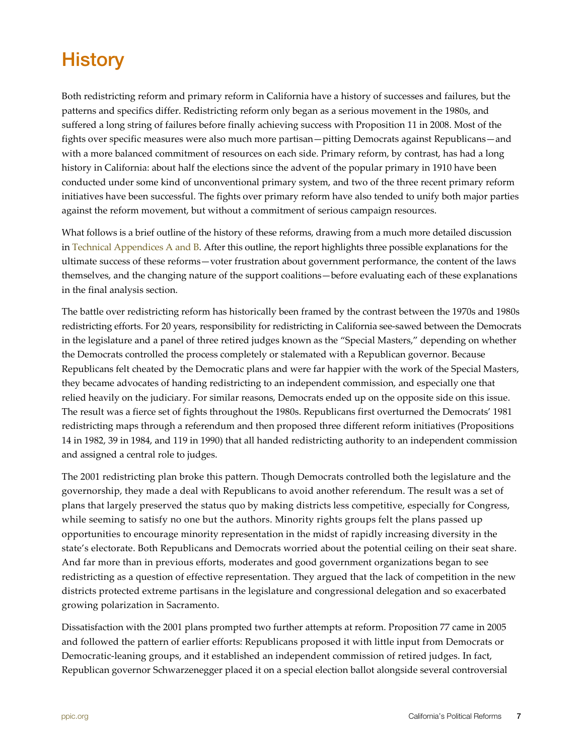# <span id="page-6-0"></span>**History**

Both redistricting reform and primary reform in California have a history of successes and failures, but the patterns and specifics differ. Redistricting reform only began as a serious movement in the 1980s, and suffered a long string of failures before finally achieving success with Proposition 11 in 2008. Most of the fights over specific measures were also much more partisan—pitting Democrats against Republicans—and with a more balanced commitment of resources on each side. Primary reform, by contrast, has had a long history in California: about half the elections since the advent of the popular primary in 1910 have been conducted under some kind of unconventional primary system, and two of the three recent primary reform initiatives have been successful. The fights over primary reform have also tended to unify both major parties against the reform movement, but without a commitment of serious campaign resources.

What follows is a brief outline of the history of these reforms, drawing from a much more detailed discussion i[n Technical Appendices A and B.](http://www.ppic.org/content/pubs/other/415EMR_appendix.pdf) After this outline, the report highlights three possible explanations for the ultimate success of these reforms—voter frustration about government performance, the content of the laws themselves, and the changing nature of the support coalitions—before evaluating each of these explanations in the final analysis section.

The battle over redistricting reform has historically been framed by the contrast between the 1970s and 1980s redistricting efforts. For 20 years, responsibility for redistricting in California see-sawed between the Democrats in the legislature and a panel of three retired judges known as the "Special Masters," depending on whether the Democrats controlled the process completely or stalemated with a Republican governor. Because Republicans felt cheated by the Democratic plans and were far happier with the work of the Special Masters, they became advocates of handing redistricting to an independent commission, and especially one that relied heavily on the judiciary. For similar reasons, Democrats ended up on the opposite side on this issue. The result was a fierce set of fights throughout the 1980s. Republicans first overturned the Democrats' 1981 redistricting maps through a referendum and then proposed three different reform initiatives (Propositions 14 in 1982, 39 in 1984, and 119 in 1990) that all handed redistricting authority to an independent commission and assigned a central role to judges.

The 2001 redistricting plan broke this pattern. Though Democrats controlled both the legislature and the governorship, they made a deal with Republicans to avoid another referendum. The result was a set of plans that largely preserved the status quo by making districts less competitive, especially for Congress, while seeming to satisfy no one but the authors. Minority rights groups felt the plans passed up opportunities to encourage minority representation in the midst of rapidly increasing diversity in the state's electorate. Both Republicans and Democrats worried about the potential ceiling on their seat share. And far more than in previous efforts, moderates and good government organizations began to see redistricting as a question of effective representation. They argued that the lack of competition in the new districts protected extreme partisans in the legislature and congressional delegation and so exacerbated growing polarization in Sacramento.

Dissatisfaction with the 2001 plans prompted two further attempts at reform. Proposition 77 came in 2005 and followed the pattern of earlier efforts: Republicans proposed it with little input from Democrats or Democratic-leaning groups, and it established an independent commission of retired judges. In fact, Republican governor Schwarzenegger placed it on a special election ballot alongside several controversial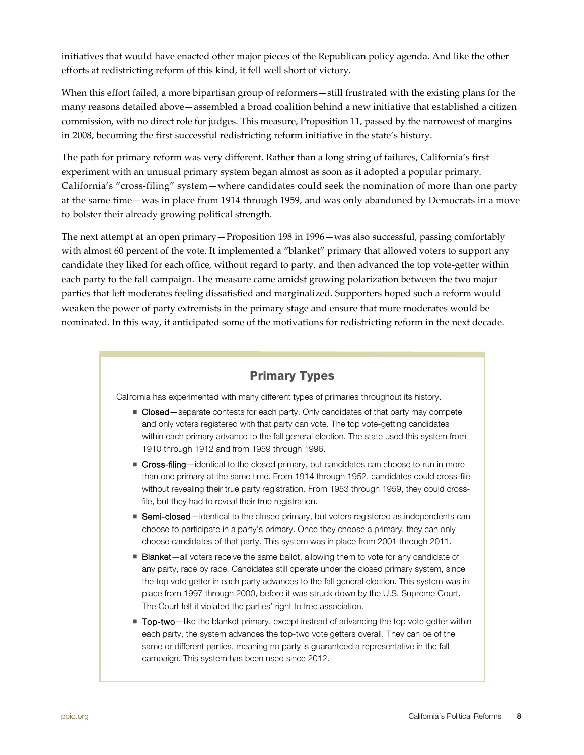initiatives that would have enacted other major pieces of the Republican policy agenda. And like the other efforts at redistricting reform of this kind, it fell well short of victory.

When this effort failed, a more bipartisan group of reformers—still frustrated with the existing plans for the many reasons detailed above—assembled a broad coalition behind a new initiative that established a citizen commission, with no direct role for judges. This measure, Proposition 11, passed by the narrowest of margins in 2008, becoming the first successful redistricting reform initiative in the state's history.

The path for primary reform was very different. Rather than a long string of failures, California's first experiment with an unusual primary system began almost as soon as it adopted a popular primary. California's "cross-filing" system—where candidates could seek the nomination of more than one party at the same time—was in place from 1914 through 1959, and was only abandoned by Democrats in a move to bolster their already growing political strength.

The next attempt at an open primary—Proposition 198 in 1996—was also successful, passing comfortably with almost 60 percent of the vote. It implemented a "blanket" primary that allowed voters to support any candidate they liked for each office, without regard to party, and then advanced the top vote-getter within each party to the fall campaign. The measure came amidst growing polarization between the two major parties that left moderates feeling dissatisfied and marginalized. Supporters hoped such a reform would weaken the power of party extremists in the primary stage and ensure that more moderates would be nominated. In this way, it anticipated some of the motivations for redistricting reform in the next decade.

#### Primary Types

California has experimented with many different types of primaries throughout its history.

- Closed—separate contests for each party. Only candidates of that party may compete and only voters registered with that party can vote. The top vote-getting candidates within each primary advance to the fall general election. The state used this system from 1910 through 1912 and from 1959 through 1996.
- Cross-filing—identical to the closed primary, but candidates can choose to run in more than one primary at the same time. From 1914 through 1952, candidates could cross-file without revealing their true party registration. From 1953 through 1959, they could crossfile, but they had to reveal their true registration.
- Semi-closed—identical to the closed primary, but voters registered as independents can choose to participate in a party's primary. Once they choose a primary, they can only choose candidates of that party. This system was in place from 2001 through 2011.
- Blanket—all voters receive the same ballot, allowing them to vote for any candidate of any party, race by race. Candidates still operate under the closed primary system, since the top vote getter in each party advances to the fall general election. This system was in place from 1997 through 2000, before it was struck down by the U.S. Supreme Court. The Court felt it violated the parties' right to free association.
- Top-two—like the blanket primary, except instead of advancing the top vote getter within each party, the system advances the top-two vote getters overall. They can be of the same or different parties, meaning no party is guaranteed a representative in the fall campaign. This system has been used since 2012.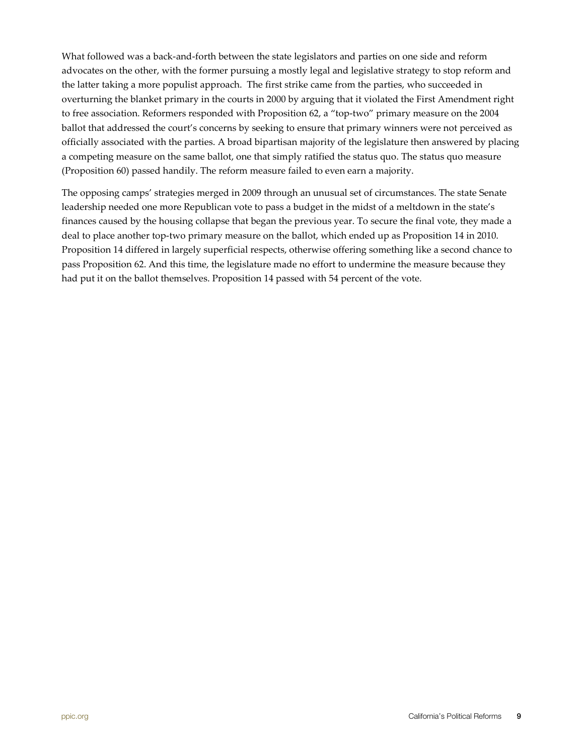What followed was a back-and-forth between the state legislators and parties on one side and reform advocates on the other, with the former pursuing a mostly legal and legislative strategy to stop reform and the latter taking a more populist approach. The first strike came from the parties, who succeeded in overturning the blanket primary in the courts in 2000 by arguing that it violated the First Amendment right to free association. Reformers responded with Proposition 62, a "top-two" primary measure on the 2004 ballot that addressed the court's concerns by seeking to ensure that primary winners were not perceived as officially associated with the parties. A broad bipartisan majority of the legislature then answered by placing a competing measure on the same ballot, one that simply ratified the status quo. The status quo measure (Proposition 60) passed handily. The reform measure failed to even earn a majority.

The opposing camps' strategies merged in 2009 through an unusual set of circumstances. The state Senate leadership needed one more Republican vote to pass a budget in the midst of a meltdown in the state's finances caused by the housing collapse that began the previous year. To secure the final vote, they made a deal to place another top-two primary measure on the ballot, which ended up as Proposition 14 in 2010. Proposition 14 differed in largely superficial respects, otherwise offering something like a second chance to pass Proposition 62. And this time, the legislature made no effort to undermine the measure because they had put it on the ballot themselves. Proposition 14 passed with 54 percent of the vote.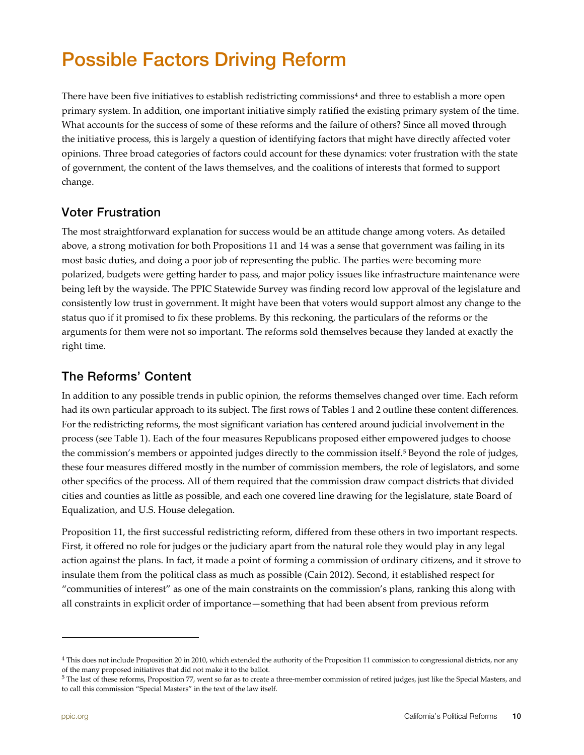# <span id="page-9-0"></span>Possible Factors Driving Reform

There have been five initiatives to establish redistricting commissions<sup>[4](#page-9-3)</sup> and three to establish a more open primary system. In addition, one important initiative simply ratified the existing primary system of the time. What accounts for the success of some of these reforms and the failure of others? Since all moved through the initiative process, this is largely a question of identifying factors that might have directly affected voter opinions. Three broad categories of factors could account for these dynamics: voter frustration with the state of government, the content of the laws themselves, and the coalitions of interests that formed to support change.

### <span id="page-9-1"></span>Voter Frustration

The most straightforward explanation for success would be an attitude change among voters. As detailed above, a strong motivation for both Propositions 11 and 14 was a sense that government was failing in its most basic duties, and doing a poor job of representing the public. The parties were becoming more polarized, budgets were getting harder to pass, and major policy issues like infrastructure maintenance were being left by the wayside. The PPIC Statewide Survey was finding record low approval of the legislature and consistently low trust in government. It might have been that voters would support almost any change to the status quo if it promised to fix these problems. By this reckoning, the particulars of the reforms or the arguments for them were not so important. The reforms sold themselves because they landed at exactly the right time.

### <span id="page-9-2"></span>The Reforms' Content

In addition to any possible trends in public opinion, the reforms themselves changed over time. Each reform had its own particular approach to its subject. The first rows of Tables 1 and 2 outline these content differences. For the redistricting reforms, the most significant variation has centered around judicial involvement in the process (see Table 1). Each of the four measures Republicans proposed either empowered judges to choose the commission's members or appointed judges directly to the commission itself.<sup>[5](#page-9-4)</sup> Beyond the role of judges, these four measures differed mostly in the number of commission members, the role of legislators, and some other specifics of the process. All of them required that the commission draw compact districts that divided cities and counties as little as possible, and each one covered line drawing for the legislature, state Board of Equalization, and U.S. House delegation.

Proposition 11, the first successful redistricting reform, differed from these others in two important respects. First, it offered no role for judges or the judiciary apart from the natural role they would play in any legal action against the plans. In fact, it made a point of forming a commission of ordinary citizens, and it strove to insulate them from the political class as much as possible (Cain 2012). Second, it established respect for "communities of interest" as one of the main constraints on the commission's plans, ranking this along with all constraints in explicit order of importance—something that had been absent from previous reform

<span id="page-9-3"></span><sup>&</sup>lt;sup>4</sup> This does not include Proposition 20 in 2010, which extended the authority of the Proposition 11 commission to congressional districts, nor any of the many proposed initiatives that did not make it to the ballot.

<span id="page-9-4"></span><sup>&</sup>lt;sup>5</sup> The last of these reforms, Proposition 77, went so far as to create a three-member commission of retired judges, just like the Special Masters, and to call this commission "Special Masters" in the text of the law itself.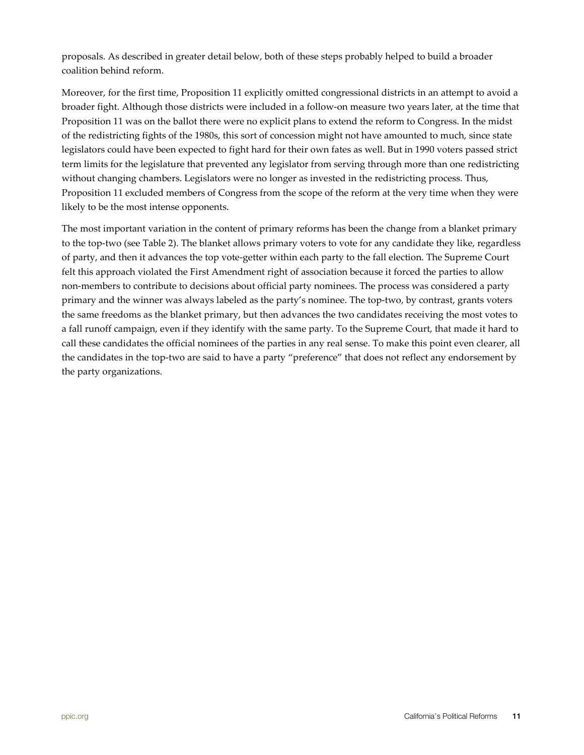proposals. As described in greater detail below, both of these steps probably helped to build a broader coalition behind reform.

Moreover, for the first time, Proposition 11 explicitly omitted congressional districts in an attempt to avoid a broader fight. Although those districts were included in a follow-on measure two years later, at the time that Proposition 11 was on the ballot there were no explicit plans to extend the reform to Congress. In the midst of the redistricting fights of the 1980s, this sort of concession might not have amounted to much, since state legislators could have been expected to fight hard for their own fates as well. But in 1990 voters passed strict term limits for the legislature that prevented any legislator from serving through more than one redistricting without changing chambers. Legislators were no longer as invested in the redistricting process. Thus, Proposition 11 excluded members of Congress from the scope of the reform at the very time when they were likely to be the most intense opponents.

The most important variation in the content of primary reforms has been the change from a blanket primary to the top-two (see Table 2). The blanket allows primary voters to vote for any candidate they like, regardless of party, and then it advances the top vote-getter within each party to the fall election. The Supreme Court felt this approach violated the First Amendment right of association because it forced the parties to allow non-members to contribute to decisions about official party nominees. The process was considered a party primary and the winner was always labeled as the party's nominee. The top-two, by contrast, grants voters the same freedoms as the blanket primary, but then advances the two candidates receiving the most votes to a fall runoff campaign, even if they identify with the same party. To the Supreme Court, that made it hard to call these candidates the official nominees of the parties in any real sense. To make this point even clearer, all the candidates in the top-two are said to have a party "preference" that does not reflect any endorsement by the party organizations.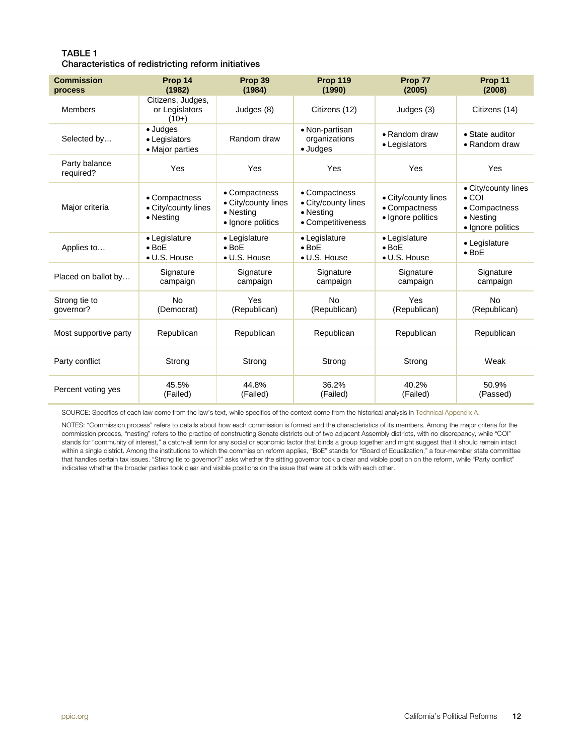#### <span id="page-11-0"></span>TABLE 1 Characteristics of redistricting reform initiatives

| <b>Commission</b><br>process | Prop 14<br>(1982)                                    | Prop 39<br>(1984)                                                      | Prop 119<br>(1990)                                                     | Prop 77<br>(2005)                                         | Prop 11<br>(2008)                                                                       |
|------------------------------|------------------------------------------------------|------------------------------------------------------------------------|------------------------------------------------------------------------|-----------------------------------------------------------|-----------------------------------------------------------------------------------------|
| <b>Members</b>               | Citizens, Judges,<br>or Legislators<br>$(10+)$       | Judges (8)                                                             | Citizens (12)                                                          | Judges (3)                                                | Citizens (14)                                                                           |
| Selected by                  | $\bullet$ Judges<br>• Legislators<br>• Major parties | Random draw                                                            | • Non-partisan<br>organizations<br>· Judges                            | • Random draw<br>• Legislators                            | • State auditor<br>• Random draw                                                        |
| Party balance<br>required?   | Yes                                                  | Yes                                                                    | Yes                                                                    | Yes                                                       | Yes                                                                                     |
| Major criteria               | • Compactness<br>• City/county lines<br>• Nesting    | • Compactness<br>• City/county lines<br>• Nesting<br>• Ignore politics | • Compactness<br>• City/county lines<br>• Nesting<br>• Competitiveness | • City/county lines<br>• Compactness<br>• Ignore politics | • City/county lines<br>$\bullet$ COI<br>• Compactness<br>• Nesting<br>• Ignore politics |
| Applies to                   | • Legislature<br>$\bullet$ BoE<br>• U.S. House       | • Legislature<br>$\bullet$ BoE<br>• U.S. House                         | • Legislature<br>$\bullet$ BoE<br>• U.S. House                         | • Legislature<br>$\bullet$ BoE<br>• U.S. House            | • Legislature<br>$\bullet$ BoE                                                          |
| Placed on ballot by          | Signature<br>campaign                                | Signature<br>campaign                                                  | Signature<br>campaign                                                  | Signature<br>campaign                                     | Signature<br>campaign                                                                   |
| Strong tie to<br>governor?   | <b>No</b><br>(Democrat)                              | Yes<br>(Republican)                                                    | <b>No</b><br>(Republican)                                              | Yes<br>(Republican)                                       | <b>No</b><br>(Republican)                                                               |
| Most supportive party        | Republican                                           | Republican                                                             | Republican                                                             | Republican                                                | Republican                                                                              |
| Party conflict               | Strong                                               | Strong                                                                 | Strong                                                                 | Strong                                                    | Weak                                                                                    |
| Percent voting yes           | 45.5%<br>(Failed)                                    | 44.8%<br>(Failed)                                                      | 36.2%<br>(Failed)                                                      | 40.2%<br>(Failed)                                         | 50.9%<br>(Passed)                                                                       |

SOURCE: Specifics of each law come from the law's text, while specifics of the context come from the historical analysis i[n Technical Appendix A.](http://www.ppic.org/content/pubs/other/415EMR_appendix.pdf)

NOTES: "Commission process" refers to details about how each commission is formed and the characteristics of its members. Among the major criteria for the commission process, "nesting" refers to the practice of constructing Senate districts out of two adjacent Assembly districts, with no discrepancy, while "COI" stands for "community of interest," a catch-all term for any social or economic factor that binds a group together and might suggest that it should remain intact within a single district. Among the institutions to which the commission reform applies, "BoE" stands for "Board of Equalization," a four-member state committee that handles certain tax issues. "Strong tie to governor?" asks whether the sitting governor took a clear and visible position on the reform, while "Party conflict" indicates whether the broader parties took clear and visible positions on the issue that were at odds with each other.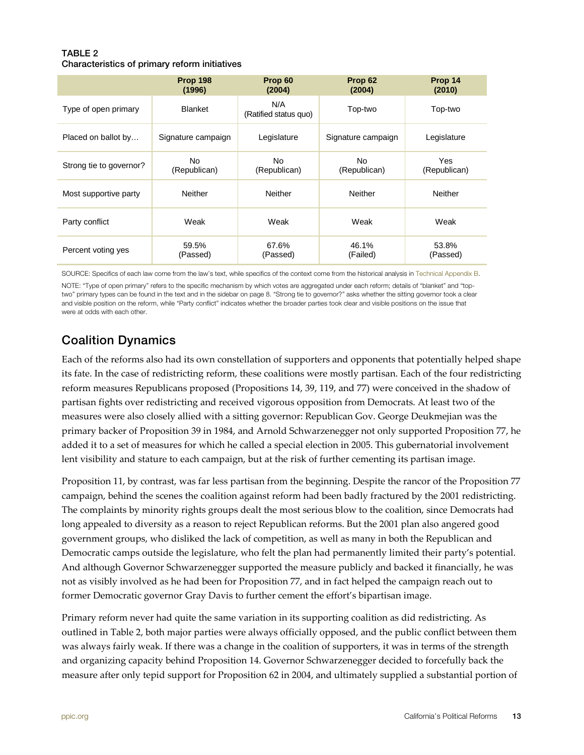#### <span id="page-12-1"></span>TABLE 2 Characteristics of primary reform initiatives

|                         | Prop 198<br>(1996) | Prop 60<br>(2004)            | Prop 62<br>(2004)   | Prop 14<br>(2010)   |
|-------------------------|--------------------|------------------------------|---------------------|---------------------|
| Type of open primary    | <b>Blanket</b>     | N/A<br>(Ratified status quo) | Top-two             | Top-two             |
| Placed on ballot by     | Signature campaign | Legislature                  | Signature campaign  | Legislature         |
| Strong tie to governor? | No<br>(Republican) | No<br>(Republican)           | No.<br>(Republican) | Yes<br>(Republican) |
| Most supportive party   | <b>Neither</b>     | <b>Neither</b>               | <b>Neither</b>      | <b>Neither</b>      |
| Party conflict          | Weak               | Weak                         | Weak                | Weak                |
| Percent voting yes      | 59.5%<br>(Passed)  | 67.6%<br>(Passed)            | 46.1%<br>(Failed)   | 53.8%<br>(Passed)   |

SOURCE: Specifics of each law come from the law's text, while specifics of the context come from the historical analysis i[n Technical Appendix B.](http://www.ppic.org/content/pubs/other/415EMR_appendix.pdf)

NOTE: "Type of open primary" refers to the specific mechanism by which votes are aggregated under each reform; details of "blanket" and "toptwo" primary types can be found in the text and in the sidebar on page 8. "Strong tie to governor?" asks whether the sitting governor took a clear and visible position on the reform, while "Party conflict" indicates whether the broader parties took clear and visible positions on the issue that were at odds with each other.

### <span id="page-12-0"></span>Coalition Dynamics

Each of the reforms also had its own constellation of supporters and opponents that potentially helped shape its fate. In the case of redistricting reform, these coalitions were mostly partisan. Each of the four redistricting reform measures Republicans proposed (Propositions 14, 39, 119, and 77) were conceived in the shadow of partisan fights over redistricting and received vigorous opposition from Democrats. At least two of the measures were also closely allied with a sitting governor: Republican Gov. George Deukmejian was the primary backer of Proposition 39 in 1984, and Arnold Schwarzenegger not only supported Proposition 77, he added it to a set of measures for which he called a special election in 2005. This gubernatorial involvement lent visibility and stature to each campaign, but at the risk of further cementing its partisan image.

Proposition 11, by contrast, was far less partisan from the beginning. Despite the rancor of the Proposition 77 campaign, behind the scenes the coalition against reform had been badly fractured by the 2001 redistricting. The complaints by minority rights groups dealt the most serious blow to the coalition, since Democrats had long appealed to diversity as a reason to reject Republican reforms. But the 2001 plan also angered good government groups, who disliked the lack of competition, as well as many in both the Republican and Democratic camps outside the legislature, who felt the plan had permanently limited their party's potential. And although Governor Schwarzenegger supported the measure publicly and backed it financially, he was not as visibly involved as he had been for Proposition 77, and in fact helped the campaign reach out to former Democratic governor Gray Davis to further cement the effort's bipartisan image.

Primary reform never had quite the same variation in its supporting coalition as did redistricting. As outlined in Table 2, both major parties were always officially opposed, and the public conflict between them was always fairly weak. If there was a change in the coalition of supporters, it was in terms of the strength and organizing capacity behind Proposition 14. Governor Schwarzenegger decided to forcefully back the measure after only tepid support for Proposition 62 in 2004, and ultimately supplied a substantial portion of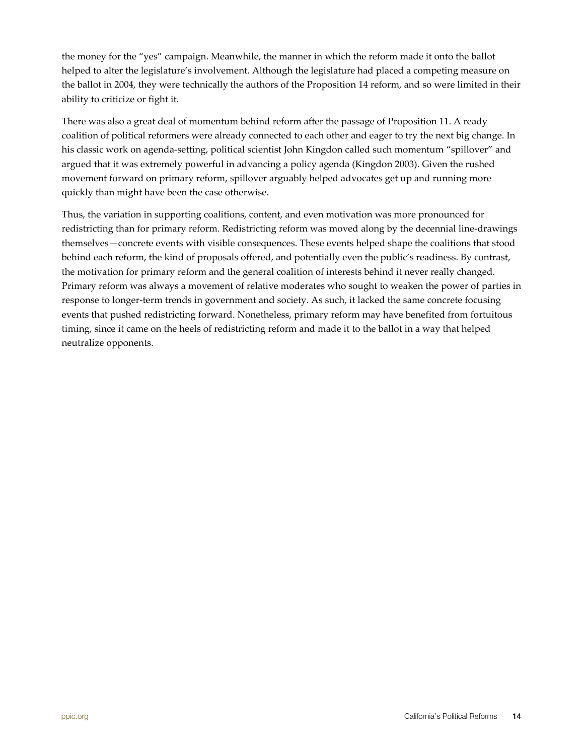the money for the "yes" campaign. Meanwhile, the manner in which the reform made it onto the ballot helped to alter the legislature's involvement. Although the legislature had placed a competing measure on the ballot in 2004, they were technically the authors of the Proposition 14 reform, and so were limited in their ability to criticize or fight it.

There was also a great deal of momentum behind reform after the passage of Proposition 11. A ready coalition of political reformers were already connected to each other and eager to try the next big change. In his classic work on agenda-setting, political scientist John Kingdon called such momentum "spillover" and argued that it was extremely powerful in advancing a policy agenda (Kingdon 2003). Given the rushed movement forward on primary reform, spillover arguably helped advocates get up and running more quickly than might have been the case otherwise.

Thus, the variation in supporting coalitions, content, and even motivation was more pronounced for redistricting than for primary reform. Redistricting reform was moved along by the decennial line-drawings themselves—concrete events with visible consequences. These events helped shape the coalitions that stood behind each reform, the kind of proposals offered, and potentially even the public's readiness. By contrast, the motivation for primary reform and the general coalition of interests behind it never really changed. Primary reform was always a movement of relative moderates who sought to weaken the power of parties in response to longer-term trends in government and society. As such, it lacked the same concrete focusing events that pushed redistricting forward. Nonetheless, primary reform may have benefited from fortuitous timing, since it came on the heels of redistricting reform and made it to the ballot in a way that helped neutralize opponents.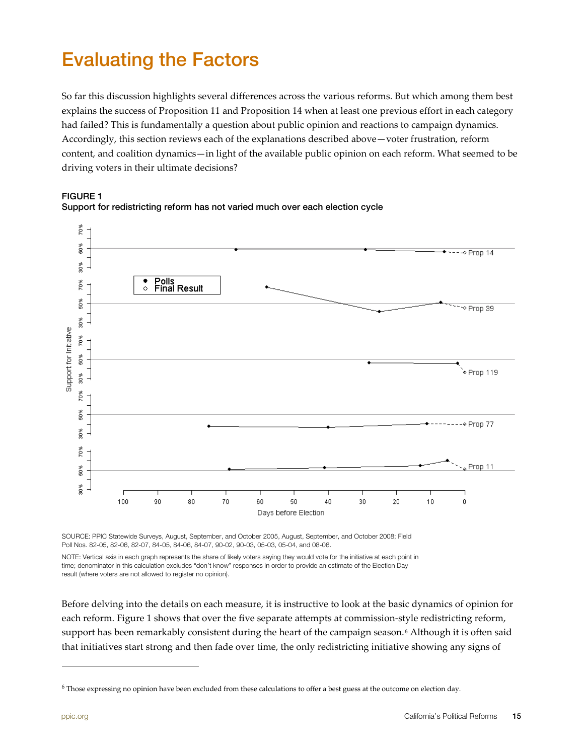# <span id="page-14-0"></span>Evaluating the Factors

So far this discussion highlights several differences across the various reforms. But which among them best explains the success of Proposition 11 and Proposition 14 when at least one previous effort in each category had failed? This is fundamentally a question about public opinion and reactions to campaign dynamics. Accordingly, this section reviews each of the explanations described above—voter frustration, reform content, and coalition dynamics—in light of the available public opinion on each reform. What seemed to be driving voters in their ultimate decisions?



<span id="page-14-1"></span>

[SOURCE: PPIC Statewide Surveys, August, September, and October 2005, August, September, and October 2008; Field](http://www.ppic.org/main/series.asp?i=12)  Poll Nos. 82-05, 82-06, 82-07, 84-05, 84-06, 84-07, 90-02, 90-03, 05-03, 05-04, and 08-06.

NOTE: Vertical axis in each graph represents the share of likely voters saying they would vote for the initiative at each point in time; denominator in this calculation excludes "don't know" responses in order to provide an estimate of the Election Day result (where voters are not allowed to register no opinion).

Before delving into the details on each measure, it is instructive to look at the basic dynamics of opinion for each reform. Figure 1 shows that over the five separate attempts at commission-style redistricting reform, support has been remarkably consistent during the heart of the campaign season.<sup>[6](#page-14-2)</sup> Although it is often said that initiatives start strong and then fade over time, the only redistricting initiative showing any signs of

<span id="page-14-2"></span><sup>6</sup> Those expressing no opinion have been excluded from these calculations to offer a best guess at the outcome on election day.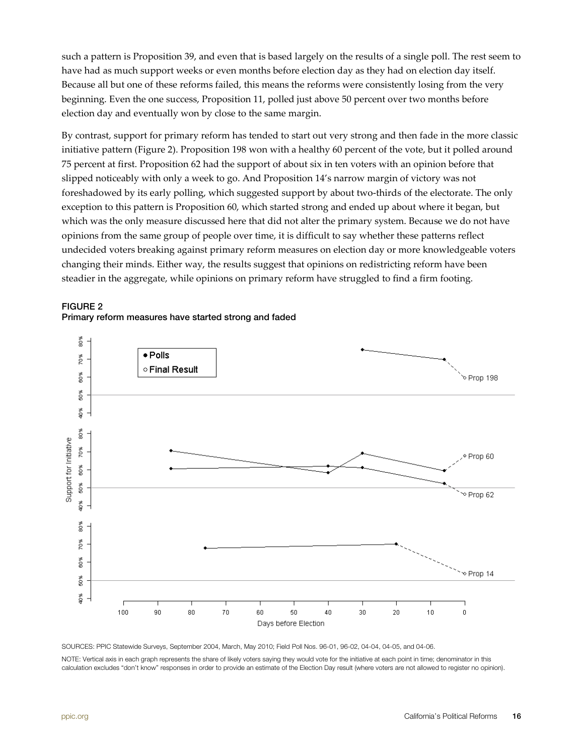such a pattern is Proposition 39, and even that is based largely on the results of a single poll. The rest seem to have had as much support weeks or even months before election day as they had on election day itself. Because all but one of these reforms failed, this means the reforms were consistently losing from the very beginning. Even the one success, Proposition 11, polled just above 50 percent over two months before election day and eventually won by close to the same margin.

By contrast, support for primary reform has tended to start out very strong and then fade in the more classic initiative pattern (Figure 2). Proposition 198 won with a healthy 60 percent of the vote, but it polled around 75 percent at first. Proposition 62 had the support of about six in ten voters with an opinion before that slipped noticeably with only a week to go. And Proposition 14's narrow margin of victory was not foreshadowed by its early polling, which suggested support by about two-thirds of the electorate. The only exception to this pattern is Proposition 60, which started strong and ended up about where it began, but which was the only measure discussed here that did not alter the primary system. Because we do not have opinions from the same group of people over time, it is difficult to say whether these patterns reflect undecided voters breaking against primary reform measures on election day or more knowledgeable voters changing their minds. Either way, the results suggest that opinions on redistricting reform have been steadier in the aggregate, while opinions on primary reform have struggled to find a firm footing.

<span id="page-15-0"></span>



SOURCES: PPIC Statewide [Surveys, September 2004, March, May 2010; Field Poll Nos. 96-01, 96-02, 04-04, 04-05, and 04-06.](http://www.ppic.org/main/series.asp?i=12)

NOTE: Vertical axis in each graph represents the share of likely voters saying they would vote for the initiative at each point in time; denominator in this calculation excludes "don't know" responses in order to provide an estimate of the Election Day result (where voters are not allowed to register no opinion).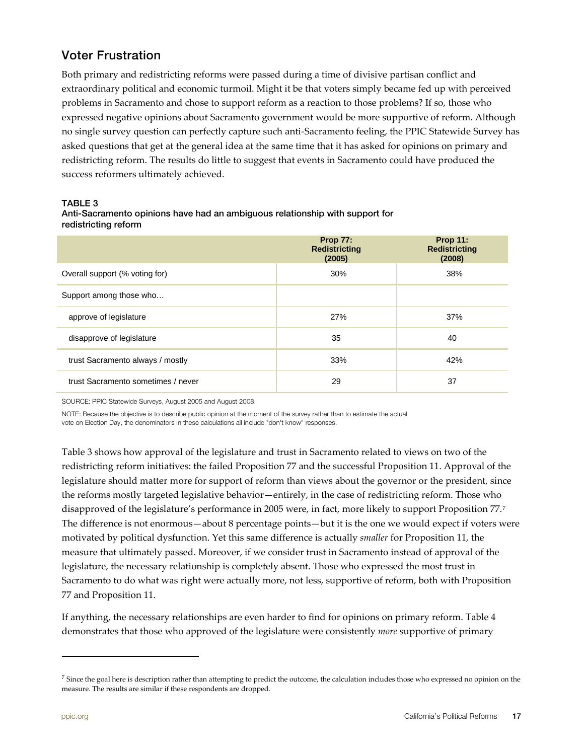### <span id="page-16-0"></span>Voter Frustration

Both primary and redistricting reforms were passed during a time of divisive partisan conflict and extraordinary political and economic turmoil. Might it be that voters simply became fed up with perceived problems in Sacramento and chose to support reform as a reaction to those problems? If so, those who expressed negative opinions about Sacramento government would be more supportive of reform. Although no single survey question can perfectly capture such anti-Sacramento feeling, the PPIC Statewide Survey has asked questions that get at the general idea at the same time that it has asked for opinions on primary and redistricting reform. The results do little to suggest that events in Sacramento could have produced the success reformers ultimately achieved.

#### <span id="page-16-1"></span>TABLE 3

Anti-Sacramento opinions have had an ambiguous relationship with support for redistricting reform

|                                    | <b>Prop 77:</b><br><b>Redistricting</b><br>(2005) | <b>Prop 11:</b><br><b>Redistricting</b><br>(2008) |
|------------------------------------|---------------------------------------------------|---------------------------------------------------|
| Overall support (% voting for)     | 30%                                               | 38%                                               |
| Support among those who            |                                                   |                                                   |
| approve of legislature             | 27%                                               | 37%                                               |
| disapprove of legislature          | 35                                                | 40                                                |
| trust Sacramento always / mostly   | 33%                                               | 42%                                               |
| trust Sacramento sometimes / never | 29                                                | 37                                                |

SOURCE: [PPIC Statewide Surveys, August 2005 and August 2008.](http://www.ppic.org/main/series.asp?i=12)

NOTE: Because the objective is to describe public opinion at the moment of the survey rather than to estimate the actual vote on Election Day, the denominators in these calculations all include "don't know" responses.

Table 3 shows how approval of the legislature and trust in Sacramento related to views on two of the redistricting reform initiatives: the failed Proposition 77 and the successful Proposition 11. Approval of the legislature should matter more for support of reform than views about the governor or the president, since the reforms mostly targeted legislative behavior—entirely, in the case of redistricting reform. Those who disapproved of the legislature's performance in 2005 were, in fact, more likely to support Proposition 77.[7](#page-16-2) The difference is not enormous—about 8 percentage points—but it is the one we would expect if voters were motivated by political dysfunction. Yet this same difference is actually *smaller* for Proposition 11, the measure that ultimately passed. Moreover, if we consider trust in Sacramento instead of approval of the legislature, the necessary relationship is completely absent. Those who expressed the most trust in Sacramento to do what was right were actually more, not less, supportive of reform, both with Proposition 77 and Proposition 11.

If anything, the necessary relationships are even harder to find for opinions on primary reform. Table 4 demonstrates that those who approved of the legislature were consistently *more* supportive of primary

<span id="page-16-2"></span> $<sup>7</sup>$  Since the goal here is description rather than attempting to predict the outcome, the calculation includes those who expressed no opinion on the</sup> measure. The results are similar if these respondents are dropped.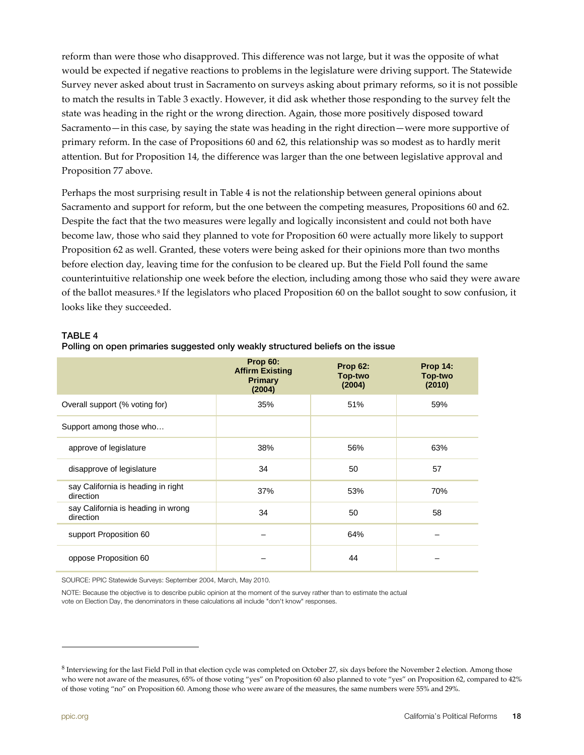reform than were those who disapproved. This difference was not large, but it was the opposite of what would be expected if negative reactions to problems in the legislature were driving support. The Statewide Survey never asked about trust in Sacramento on surveys asking about primary reforms, so it is not possible to match the results in Table 3 exactly. However, it did ask whether those responding to the survey felt the state was heading in the right or the wrong direction. Again, those more positively disposed toward Sacramento—in this case, by saying the state was heading in the right direction—were more supportive of primary reform. In the case of Propositions 60 and 62, this relationship was so modest as to hardly merit attention. But for Proposition 14, the difference was larger than the one between legislative approval and Proposition 77 above.

Perhaps the most surprising result in Table 4 is not the relationship between general opinions about Sacramento and support for reform, but the one between the competing measures, Propositions 60 and 62. Despite the fact that the two measures were legally and logically inconsistent and could not both have become law, those who said they planned to vote for Proposition 60 were actually more likely to support Proposition 62 as well. Granted, these voters were being asked for their opinions more than two months before election day, leaving time for the confusion to be cleared up. But the Field Poll found the same counterintuitive relationship one week before the election, including among those who said they were aware of the ballot measures.[8](#page-17-2) If the legislators who placed Proposition 60 on the ballot sought to sow confusion, it looks like they succeeded.

|                                                 | <b>Prop 60:</b><br><b>Affirm Existing</b><br>Primary<br>(2004) | <b>Prop 62:</b><br>Top-two<br>(2004) | <b>Prop 14:</b><br>Top-two<br>(2010) |
|-------------------------------------------------|----------------------------------------------------------------|--------------------------------------|--------------------------------------|
| Overall support (% voting for)                  | 35%                                                            | 51%                                  | 59%                                  |
| Support among those who                         |                                                                |                                      |                                      |
| approve of legislature                          | 38%                                                            | 56%                                  | 63%                                  |
| disapprove of legislature                       | 34                                                             | 50                                   | 57                                   |
| say California is heading in right<br>direction | 37%                                                            | 53%                                  | 70%                                  |
| say California is heading in wrong<br>direction | 34                                                             | 50                                   | 58                                   |
| support Proposition 60                          |                                                                | 64%                                  |                                      |
| oppose Proposition 60                           |                                                                | 44                                   |                                      |

#### <span id="page-17-1"></span>TABLE 4

|  | Polling on open primaries suggested only weakly structured beliefs on the issue |  |  |
|--|---------------------------------------------------------------------------------|--|--|
|  |                                                                                 |  |  |

SOURCE: PPIC Statewide Surveys: [September 2004, March, May 2010.](http://www.ppic.org/main/series.asp?i=12)

<span id="page-17-0"></span>NOTE: Because the objective is to describe public opinion at the moment of the survey rather than to estimate the actual vote on Election Day, the denominators in these calculations all include "don't know" responses.

<span id="page-17-2"></span><sup>&</sup>lt;sup>8</sup> Interviewing for the last Field Poll in that election cycle was completed on October 27, six days before the November 2 election. Among those who were not aware of the measures, 65% of those voting "yes" on Proposition 60 also planned to vote "yes" on Proposition 62, compared to 42% of those voting "no" on Proposition 60. Among those who were aware of the measures, the same numbers were 55% and 29%.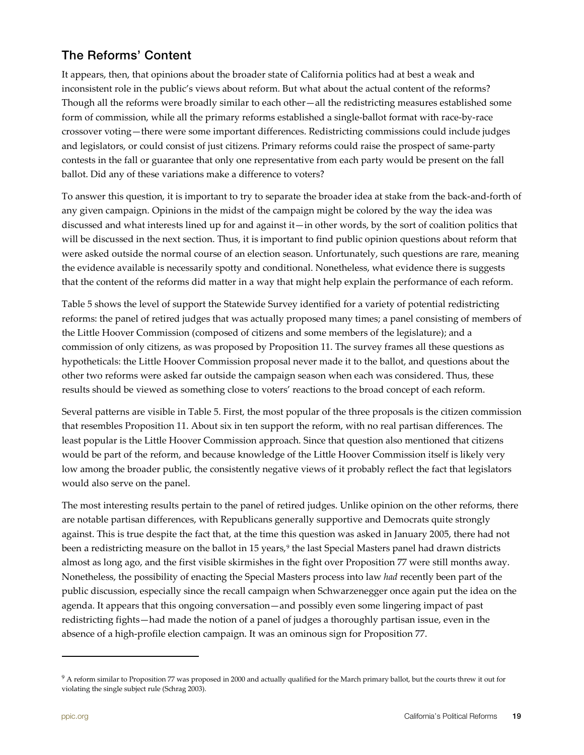### The Reforms' Content

It appears, then, that opinions about the broader state of California politics had at best a weak and inconsistent role in the public's views about reform. But what about the actual content of the reforms? Though all the reforms were broadly similar to each other—all the redistricting measures established some form of commission, while all the primary reforms established a single-ballot format with race-by-race crossover voting—there were some important differences. Redistricting commissions could include judges and legislators, or could consist of just citizens. Primary reforms could raise the prospect of same-party contests in the fall or guarantee that only one representative from each party would be present on the fall ballot. Did any of these variations make a difference to voters?

To answer this question, it is important to try to separate the broader idea at stake from the back-and-forth of any given campaign. Opinions in the midst of the campaign might be colored by the way the idea was discussed and what interests lined up for and against it—in other words, by the sort of coalition politics that will be discussed in the next section. Thus, it is important to find public opinion questions about reform that were asked outside the normal course of an election season. Unfortunately, such questions are rare, meaning the evidence available is necessarily spotty and conditional. Nonetheless, what evidence there is suggests that the content of the reforms did matter in a way that might help explain the performance of each reform.

Table 5 shows the level of support the Statewide Survey identified for a variety of potential redistricting reforms: the panel of retired judges that was actually proposed many times; a panel consisting of members of the Little Hoover Commission (composed of citizens and some members of the legislature); and a commission of only citizens, as was proposed by Proposition 11. The survey frames all these questions as hypotheticals: the Little Hoover Commission proposal never made it to the ballot, and questions about the other two reforms were asked far outside the campaign season when each was considered. Thus, these results should be viewed as something close to voters' reactions to the broad concept of each reform.

Several patterns are visible in Table 5. First, the most popular of the three proposals is the citizen commission that resembles Proposition 11. About six in ten support the reform, with no real partisan differences. The least popular is the Little Hoover Commission approach. Since that question also mentioned that citizens would be part of the reform, and because knowledge of the Little Hoover Commission itself is likely very low among the broader public, the consistently negative views of it probably reflect the fact that legislators would also serve on the panel.

The most interesting results pertain to the panel of retired judges. Unlike opinion on the other reforms, there are notable partisan differences, with Republicans generally supportive and Democrats quite strongly against. This is true despite the fact that, at the time this question was asked in January 2005, there had not been a redistricting measure on the ballot in 15 years,<sup>[9](#page-18-0)</sup> the last Special Masters panel had drawn districts almost as long ago, and the first visible skirmishes in the fight over Proposition 77 were still months away. Nonetheless, the possibility of enacting the Special Masters process into law *had* recently been part of the public discussion, especially since the recall campaign when Schwarzenegger once again put the idea on the agenda. It appears that this ongoing conversation—and possibly even some lingering impact of past redistricting fights—had made the notion of a panel of judges a thoroughly partisan issue, even in the absence of a high-profile election campaign. It was an ominous sign for Proposition 77.

<span id="page-18-0"></span><sup>&</sup>lt;sup>9</sup> A reform similar to Proposition 77 was proposed in 2000 and actually qualified for the March primary ballot, but the courts threw it out for violating the single subject rule (Schrag 2003).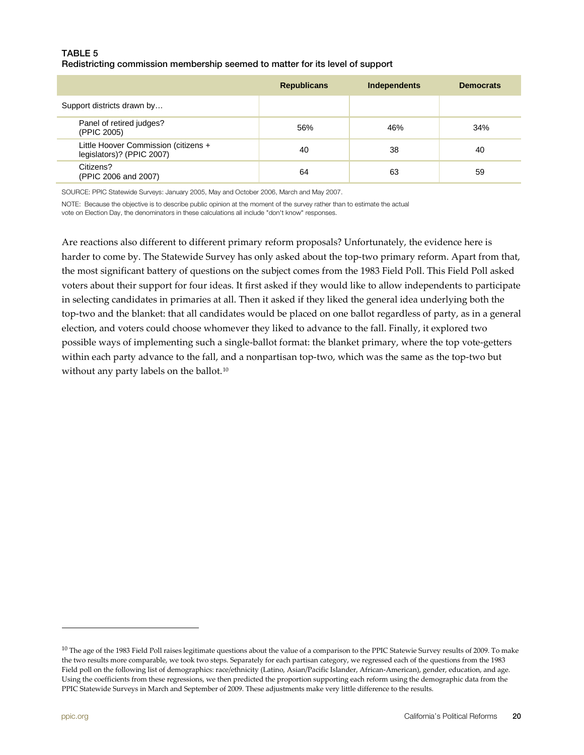#### <span id="page-19-0"></span>TABLE 5 Redistricting commission membership seemed to matter for its level of support

|                                                                   | <b>Republicans</b> | <b>Independents</b> | <b>Democrats</b> |
|-------------------------------------------------------------------|--------------------|---------------------|------------------|
| Support districts drawn by                                        |                    |                     |                  |
| Panel of retired judges?<br>(PPIC 2005)                           | 56%                | 46%                 | 34%              |
| Little Hoover Commission (citizens +<br>legislators)? (PPIC 2007) | 40                 | 38                  | 40               |
| Citizens?<br>(PPIC 2006 and 2007)                                 | 64                 | 63                  | 59               |

SOURCE: PPIC Statewide Surveys: [January 2005, May and October 2006, March and May 2007.](http://www.ppic.org/main/series.asp?i=12)

NOTE: Because the objective is to describe public opinion at the moment of the survey rather than to estimate the actual vote on Election Day, the denominators in these calculations all include "don't know" responses.

Are reactions also different to different primary reform proposals? Unfortunately, the evidence here is harder to come by. The Statewide Survey has only asked about the top-two primary reform. Apart from that, the most significant battery of questions on the subject comes from the 1983 Field Poll. This Field Poll asked voters about their support for four ideas. It first asked if they would like to allow independents to participate in selecting candidates in primaries at all. Then it asked if they liked the general idea underlying both the top-two and the blanket: that all candidates would be placed on one ballot regardless of party, as in a general election, and voters could choose whomever they liked to advance to the fall. Finally, it explored two possible ways of implementing such a single-ballot format: the blanket primary, where the top vote-getters within each party advance to the fall, and a nonpartisan top-two, which was the same as the top-two but without any party labels on the ballot.<sup>[10](#page-19-1)</sup>

<span id="page-19-1"></span><sup>&</sup>lt;sup>10</sup> The age of the 1983 Field Poll raises legitimate questions about the value of a comparison to the PPIC Statewie Survey results of 2009. To make the two results more comparable, we took two steps. Separately for each partisan category, we regressed each of the questions from the 1983 Field poll on the following list of demographics: race/ethnicity (Latino, Asian/Pacific Islander, African-American), gender, education, and age. Using the coefficients from these regressions, we then predicted the proportion supporting each reform using the demographic data from the PPIC Statewide Surveys in March and September of 2009. These adjustments make very little difference to the results.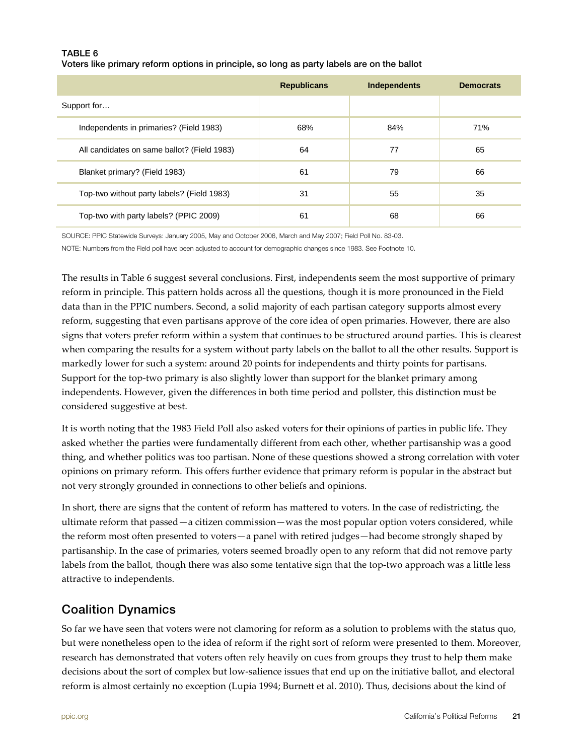#### <span id="page-20-1"></span>TABLE 6

#### Voters like primary reform options in principle, so long as party labels are on the ballot

|                                             | <b>Republicans</b> | Independents | <b>Democrats</b> |
|---------------------------------------------|--------------------|--------------|------------------|
| Support for                                 |                    |              |                  |
| Independents in primaries? (Field 1983)     | 68%                | 84%          | 71%              |
| All candidates on same ballot? (Field 1983) | 64                 | 77           | 65               |
| Blanket primary? (Field 1983)               | 61                 | 79           | 66               |
| Top-two without party labels? (Field 1983)  | 31                 | 55           | 35               |
| Top-two with party labels? (PPIC 2009)      | 61                 | 68           | 66               |

SOURCE: PPIC Statewide Surveys: [January 2005, May and October 2006, March and May 2007; Field Poll No. 83-03.](http://www.ppic.org/main/series.asp?i=12)

NOTE: Numbers from the Field poll have been adjusted to account for demographic changes since 1983. See Footnote 10.

The results in Table 6 suggest several conclusions. First, independents seem the most supportive of primary reform in principle. This pattern holds across all the questions, though it is more pronounced in the Field data than in the PPIC numbers. Second, a solid majority of each partisan category supports almost every reform, suggesting that even partisans approve of the core idea of open primaries. However, there are also signs that voters prefer reform within a system that continues to be structured around parties. This is clearest when comparing the results for a system without party labels on the ballot to all the other results. Support is markedly lower for such a system: around 20 points for independents and thirty points for partisans. Support for the top-two primary is also slightly lower than support for the blanket primary among independents. However, given the differences in both time period and pollster, this distinction must be considered suggestive at best.

It is worth noting that the 1983 Field Poll also asked voters for their opinions of parties in public life. They asked whether the parties were fundamentally different from each other, whether partisanship was a good thing, and whether politics was too partisan. None of these questions showed a strong correlation with voter opinions on primary reform. This offers further evidence that primary reform is popular in the abstract but not very strongly grounded in connections to other beliefs and opinions.

In short, there are signs that the content of reform has mattered to voters. In the case of redistricting, the ultimate reform that passed—a citizen commission—was the most popular option voters considered, while the reform most often presented to voters—a panel with retired judges—had become strongly shaped by partisanship. In the case of primaries, voters seemed broadly open to any reform that did not remove party labels from the ballot, though there was also some tentative sign that the top-two approach was a little less attractive to independents.

### <span id="page-20-0"></span>Coalition Dynamics

So far we have seen that voters were not clamoring for reform as a solution to problems with the status quo, but were nonetheless open to the idea of reform if the right sort of reform were presented to them. Moreover, research has demonstrated that voters often rely heavily on cues from groups they trust to help them make decisions about the sort of complex but low-salience issues that end up on the initiative ballot, and electoral reform is almost certainly no exception (Lupia 1994; Burnett et al. 2010). Thus, decisions about the kind of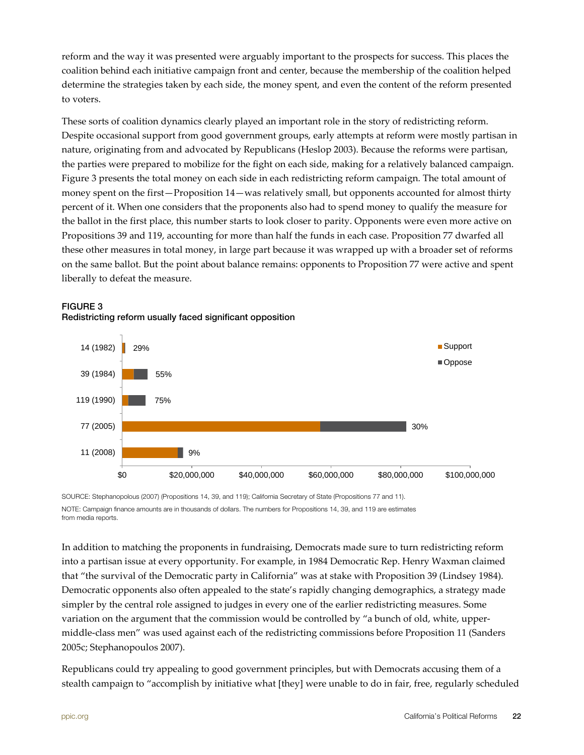reform and the way it was presented were arguably important to the prospects for success. This places the coalition behind each initiative campaign front and center, because the membership of the coalition helped determine the strategies taken by each side, the money spent, and even the content of the reform presented to voters.

These sorts of coalition dynamics clearly played an important role in the story of redistricting reform. Despite occasional support from good government groups, early attempts at reform were mostly partisan in nature, originating from and advocated by Republicans (Heslop 2003). Because the reforms were partisan, the parties were prepared to mobilize for the fight on each side, making for a relatively balanced campaign. Figure 3 presents the total money on each side in each redistricting reform campaign. The total amount of money spent on the first—Proposition 14—was relatively small, but opponents accounted for almost thirty percent of it. When one considers that the proponents also had to spend money to qualify the measure for the ballot in the first place, this number starts to look closer to parity. Opponents were even more active on Propositions 39 and 119, accounting for more than half the funds in each case. Proposition 77 dwarfed all these other measures in total money, in large part because it was wrapped up with a broader set of reforms on the same ballot. But the point about balance remains: opponents to Proposition 77 were active and spent liberally to defeat the measure.



#### <span id="page-21-0"></span>FIGURE 3 Redistricting reform usually faced significant opposition

SOURCE: Stephanopolous (2007) (Propositions 14, 39, and 119); California Secretary of State (Propositions 77 and 11). NOTE: Campaign finance amounts are in thousands of dollars. The numbers for Propositions 14, 39, and 119 are estimates from media reports.

In addition to matching the proponents in fundraising, Democrats made sure to turn redistricting reform into a partisan issue at every opportunity. For example, in 1984 Democratic Rep. Henry Waxman claimed that "the survival of the Democratic party in California" was at stake with Proposition 39 (Lindsey 1984). Democratic opponents also often appealed to the state's rapidly changing demographics, a strategy made simpler by the central role assigned to judges in every one of the earlier redistricting measures. Some variation on the argument that the commission would be controlled by "a bunch of old, white, uppermiddle-class men" was used against each of the redistricting commissions before Proposition 11 (Sanders 2005c; Stephanopoulos 2007).

Republicans could try appealing to good government principles, but with Democrats accusing them of a stealth campaign to "accomplish by initiative what [they] were unable to do in fair, free, regularly scheduled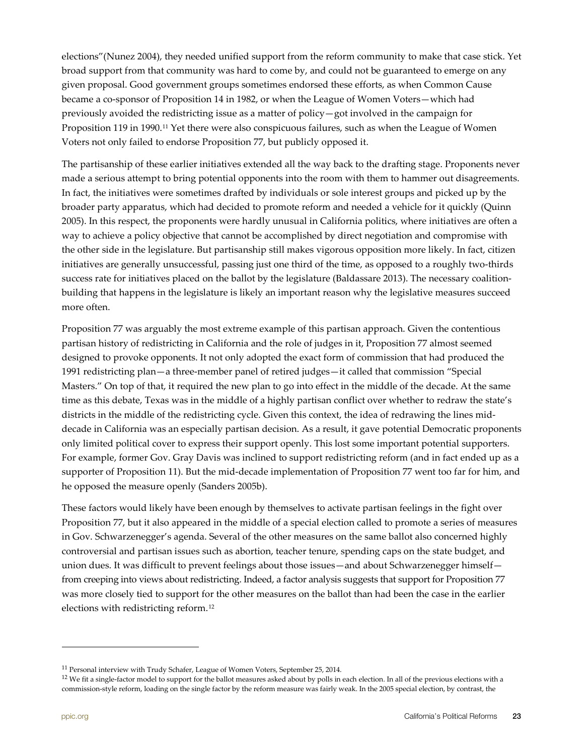elections"(Nunez 2004), they needed unified support from the reform community to make that case stick. Yet broad support from that community was hard to come by, and could not be guaranteed to emerge on any given proposal. Good government groups sometimes endorsed these efforts, as when Common Cause became a co-sponsor of Proposition 14 in 1982, or when the League of Women Voters—which had previously avoided the redistricting issue as a matter of policy—got involved in the campaign for Proposition 119 in 1990.[11](#page-22-0) Yet there were also conspicuous failures, such as when the League of Women Voters not only failed to endorse Proposition 77, but publicly opposed it.

The partisanship of these earlier initiatives extended all the way back to the drafting stage. Proponents never made a serious attempt to bring potential opponents into the room with them to hammer out disagreements. In fact, the initiatives were sometimes drafted by individuals or sole interest groups and picked up by the broader party apparatus, which had decided to promote reform and needed a vehicle for it quickly (Quinn 2005). In this respect, the proponents were hardly unusual in California politics, where initiatives are often a way to achieve a policy objective that cannot be accomplished by direct negotiation and compromise with the other side in the legislature. But partisanship still makes vigorous opposition more likely. In fact, citizen initiatives are generally unsuccessful, passing just one third of the time, as opposed to a roughly two-thirds success rate for initiatives placed on the ballot by the legislature (Baldassare 2013). The necessary coalitionbuilding that happens in the legislature is likely an important reason why the legislative measures succeed more often.

Proposition 77 was arguably the most extreme example of this partisan approach. Given the contentious partisan history of redistricting in California and the role of judges in it, Proposition 77 almost seemed designed to provoke opponents. It not only adopted the exact form of commission that had produced the 1991 redistricting plan—a three-member panel of retired judges—it called that commission "Special Masters." On top of that, it required the new plan to go into effect in the middle of the decade. At the same time as this debate, Texas was in the middle of a highly partisan conflict over whether to redraw the state's districts in the middle of the redistricting cycle. Given this context, the idea of redrawing the lines middecade in California was an especially partisan decision. As a result, it gave potential Democratic proponents only limited political cover to express their support openly. This lost some important potential supporters. For example, former Gov. Gray Davis was inclined to support redistricting reform (and in fact ended up as a supporter of Proposition 11). But the mid-decade implementation of Proposition 77 went too far for him, and he opposed the measure openly (Sanders 2005b).

These factors would likely have been enough by themselves to activate partisan feelings in the fight over Proposition 77, but it also appeared in the middle of a special election called to promote a series of measures in Gov. Schwarzenegger's agenda. Several of the other measures on the same ballot also concerned highly controversial and partisan issues such as abortion, teacher tenure, spending caps on the state budget, and union dues. It was difficult to prevent feelings about those issues—and about Schwarzenegger himself from creeping into views about redistricting. Indeed, a factor analysis suggests that support for Proposition 77 was more closely tied to support for the other measures on the ballot than had been the case in the earlier elections with redistricting reform.[12](#page-22-1)

<span id="page-22-0"></span><sup>&</sup>lt;sup>11</sup> Personal interview with Trudy Schafer, League of Women Voters, September 25, 2014.

<span id="page-22-1"></span> $12$  We fit a single-factor model to support for the ballot measures asked about by polls in each election. In all of the previous elections with a commission-style reform, loading on the single factor by the reform measure was fairly weak. In the 2005 special election, by contrast, the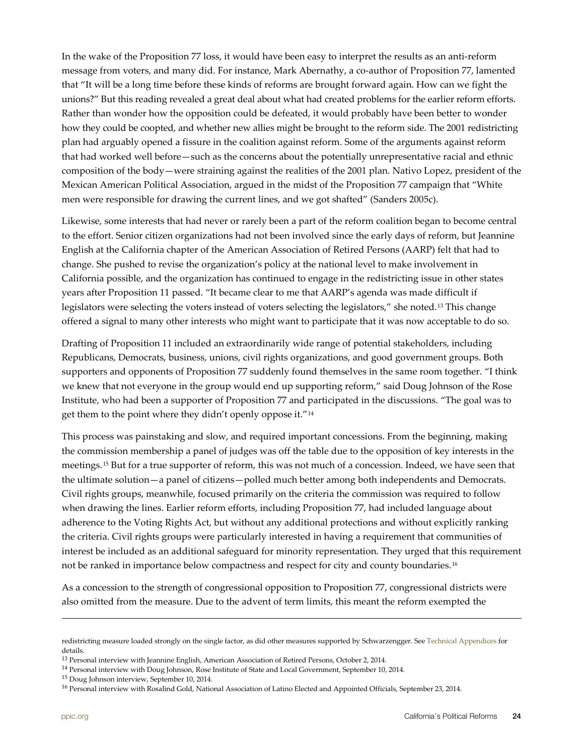In the wake of the Proposition 77 loss, it would have been easy to interpret the results as an anti-reform message from voters, and many did. For instance, Mark Abernathy, a co-author of Proposition 77, lamented that "It will be a long time before these kinds of reforms are brought forward again. How can we fight the unions?" But this reading revealed a great deal about what had created problems for the earlier reform efforts. Rather than wonder how the opposition could be defeated, it would probably have been better to wonder how they could be coopted, and whether new allies might be brought to the reform side. The 2001 redistricting plan had arguably opened a fissure in the coalition against reform. Some of the arguments against reform that had worked well before—such as the concerns about the potentially unrepresentative racial and ethnic composition of the body—were straining against the realities of the 2001 plan. Nativo Lopez, president of the Mexican American Political Association, argued in the midst of the Proposition 77 campaign that "White men were responsible for drawing the current lines, and we got shafted" (Sanders 2005c).

Likewise, some interests that had never or rarely been a part of the reform coalition began to become central to the effort. Senior citizen organizations had not been involved since the early days of reform, but Jeannine English at the California chapter of the American Association of Retired Persons (AARP) felt that had to change. She pushed to revise the organization's policy at the national level to make involvement in California possible, and the organization has continued to engage in the redistricting issue in other states years after Proposition 11 passed. "It became clear to me that AARP's agenda was made difficult if legislators were selecting the voters instead of voters selecting the legislators," she noted.[13](#page-23-0) This change offered a signal to many other interests who might want to participate that it was now acceptable to do so.

Drafting of Proposition 11 included an extraordinarily wide range of potential stakeholders, including Republicans, Democrats, business, unions, civil rights organizations, and good government groups. Both supporters and opponents of Proposition 77 suddenly found themselves in the same room together. "I think we knew that not everyone in the group would end up supporting reform," said Doug Johnson of the Rose Institute, who had been a supporter of Proposition 77 and participated in the discussions. "The goal was to get them to the point where they didn't openly oppose it."[14](#page-23-1)

This process was painstaking and slow, and required important concessions. From the beginning, making the commission membership a panel of judges was off the table due to the opposition of key interests in the meetings.[15](#page-23-2) But for a true supporter of reform, this was not much of a concession. Indeed, we have seen that the ultimate solution—a panel of citizens—polled much better among both independents and Democrats. Civil rights groups, meanwhile, focused primarily on the criteria the commission was required to follow when drawing the lines. Earlier reform efforts, including Proposition 77, had included language about adherence to the Voting Rights Act, but without any additional protections and without explicitly ranking the criteria. Civil rights groups were particularly interested in having a requirement that communities of interest be included as an additional safeguard for minority representation. They urged that this requirement not be ranked in importance below compactness and respect for city and county boundaries.<sup>[16](#page-23-3)</sup>

As a concession to the strength of congressional opposition to Proposition 77, congressional districts were also omitted from the measure. Due to the advent of term limits, this meant the reform exempted the

redistricting measure loaded strongly on the single factor, as did other measures supported by Schwarzengger. Se[e Technical Appendices](http://www.ppic.org/content/pubs/other/415EMR_appendix.pdf) for details.

<span id="page-23-0"></span><sup>&</sup>lt;sup>13</sup> Personal interview with Jeannine English, American Association of Retired Persons, October 2, 2014.

<span id="page-23-1"></span><sup>&</sup>lt;sup>14</sup> Personal interview with Doug Johnson, Rose Institute of State and Local Government, September 10, 2014.

<span id="page-23-2"></span><sup>15</sup> Doug Johnson interview, September 10, 2014.

<span id="page-23-3"></span><sup>&</sup>lt;sup>16</sup> Personal interview with Rosalind Gold, National Association of Latino Elected and Appointed Officials, September 23, 2014.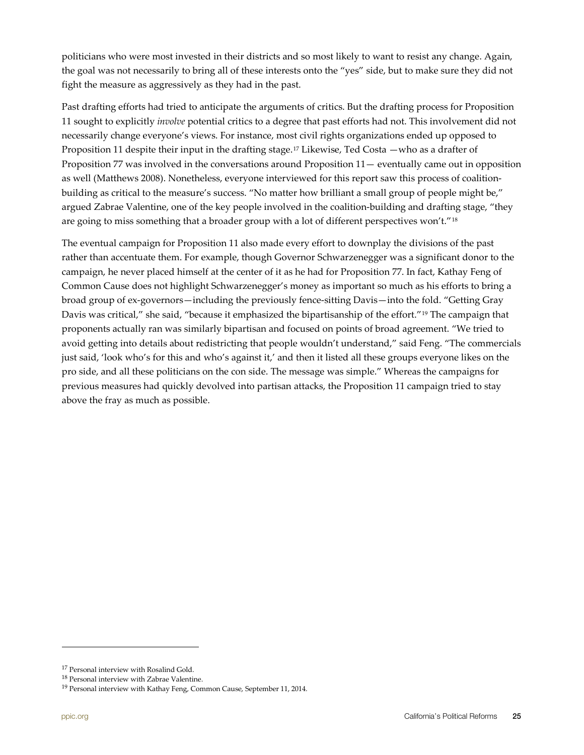politicians who were most invested in their districts and so most likely to want to resist any change. Again, the goal was not necessarily to bring all of these interests onto the "yes" side, but to make sure they did not fight the measure as aggressively as they had in the past.

Past drafting efforts had tried to anticipate the arguments of critics. But the drafting process for Proposition 11 sought to explicitly *involve* potential critics to a degree that past efforts had not. This involvement did not necessarily change everyone's views. For instance, most civil rights organizations ended up opposed to Proposition 11 despite their input in the drafting stage.[17](#page-24-0) Likewise, Ted Costa —who as a drafter of Proposition 77 was involved in the conversations around Proposition 11— eventually came out in opposition as well (Matthews 2008). Nonetheless, everyone interviewed for this report saw this process of coalitionbuilding as critical to the measure's success. "No matter how brilliant a small group of people might be," argued Zabrae Valentine, one of the key people involved in the coalition-building and drafting stage, "they are going to miss something that a broader group with a lot of different perspectives won't."<sup>[18](#page-24-1)</sup>

The eventual campaign for Proposition 11 also made every effort to downplay the divisions of the past rather than accentuate them. For example, though Governor Schwarzenegger was a significant donor to the campaign, he never placed himself at the center of it as he had for Proposition 77. In fact, Kathay Feng of Common Cause does not highlight Schwarzenegger's money as important so much as his efforts to bring a broad group of ex-governors—including the previously fence-sitting Davis—into the fold. "Getting Gray Davis was critical," she said, "because it emphasized the bipartisanship of the effort."<sup>[19](#page-24-2)</sup> The campaign that proponents actually ran was similarly bipartisan and focused on points of broad agreement. "We tried to avoid getting into details about redistricting that people wouldn't understand," said Feng. "The commercials just said, 'look who's for this and who's against it,' and then it listed all these groups everyone likes on the pro side, and all these politicians on the con side. The message was simple." Whereas the campaigns for previous measures had quickly devolved into partisan attacks, the Proposition 11 campaign tried to stay above the fray as much as possible.

<span id="page-24-0"></span><sup>&</sup>lt;sup>17</sup> Personal interview with Rosalind Gold.

<span id="page-24-1"></span><sup>18</sup> Personal interview with Zabrae Valentine.

<span id="page-24-2"></span><sup>&</sup>lt;sup>19</sup> Personal interview with Kathay Feng, Common Cause, September 11, 2014.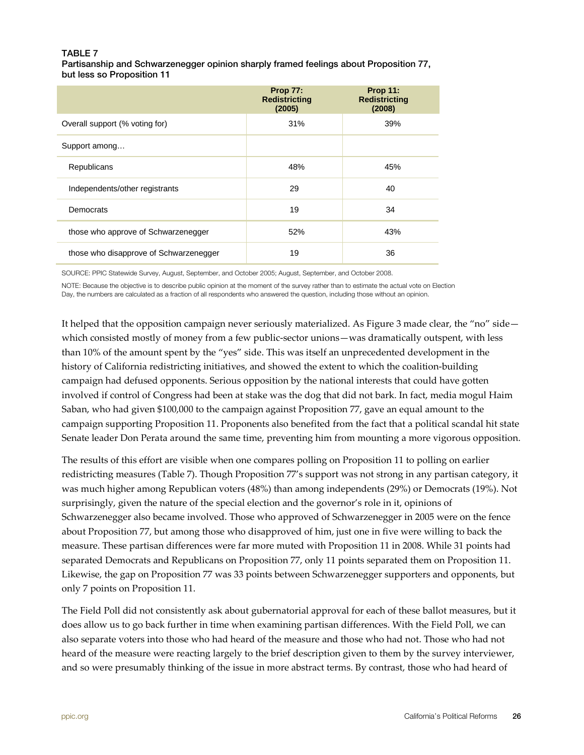#### <span id="page-25-0"></span>TABLE 7

Partisanship and Schwarzenegger opinion sharply framed feelings about Proposition 77, but less so Proposition 11

|                                        | <b>Prop 77:</b><br><b>Redistricting</b><br>(2005) | <b>Prop 11:</b><br><b>Redistricting</b><br>(2008) |
|----------------------------------------|---------------------------------------------------|---------------------------------------------------|
| Overall support (% voting for)         | 31%                                               | 39%                                               |
| Support among                          |                                                   |                                                   |
| Republicans                            | 48%                                               | 45%                                               |
| Independents/other registrants         | 29                                                | 40                                                |
| Democrats                              | 19                                                | 34                                                |
| those who approve of Schwarzenegger    | 52%                                               | 43%                                               |
| those who disapprove of Schwarzenegger | 19                                                | 36                                                |

SOURCE: [PPIC Statewide Survey, August, September, and October 2005; August, September, and October 2008.](http://www.ppic.org/main/series.asp?i=12)

NOTE: Because the objective is to describe public opinion at the moment of the survey rather than to estimate the actual vote on Election Day, the numbers are calculated as a fraction of all respondents who answered the question, including those without an opinion.

It helped that the opposition campaign never seriously materialized. As Figure 3 made clear, the "no" side which consisted mostly of money from a few public-sector unions—was dramatically outspent, with less than 10% of the amount spent by the "yes" side. This was itself an unprecedented development in the history of California redistricting initiatives, and showed the extent to which the coalition-building campaign had defused opponents. Serious opposition by the national interests that could have gotten involved if control of Congress had been at stake was the dog that did not bark. In fact, media mogul Haim Saban, who had given \$100,000 to the campaign against Proposition 77, gave an equal amount to the campaign supporting Proposition 11. Proponents also benefited from the fact that a political scandal hit state Senate leader Don Perata around the same time, preventing him from mounting a more vigorous opposition.

The results of this effort are visible when one compares polling on Proposition 11 to polling on earlier redistricting measures (Table 7). Though Proposition 77's support was not strong in any partisan category, it was much higher among Republican voters (48%) than among independents (29%) or Democrats (19%). Not surprisingly, given the nature of the special election and the governor's role in it, opinions of Schwarzenegger also became involved. Those who approved of Schwarzenegger in 2005 were on the fence about Proposition 77, but among those who disapproved of him, just one in five were willing to back the measure. These partisan differences were far more muted with Proposition 11 in 2008. While 31 points had separated Democrats and Republicans on Proposition 77, only 11 points separated them on Proposition 11. Likewise, the gap on Proposition 77 was 33 points between Schwarzenegger supporters and opponents, but only 7 points on Proposition 11.

The Field Poll did not consistently ask about gubernatorial approval for each of these ballot measures, but it does allow us to go back further in time when examining partisan differences. With the Field Poll, we can also separate voters into those who had heard of the measure and those who had not. Those who had not heard of the measure were reacting largely to the brief description given to them by the survey interviewer, and so were presumably thinking of the issue in more abstract terms. By contrast, those who had heard of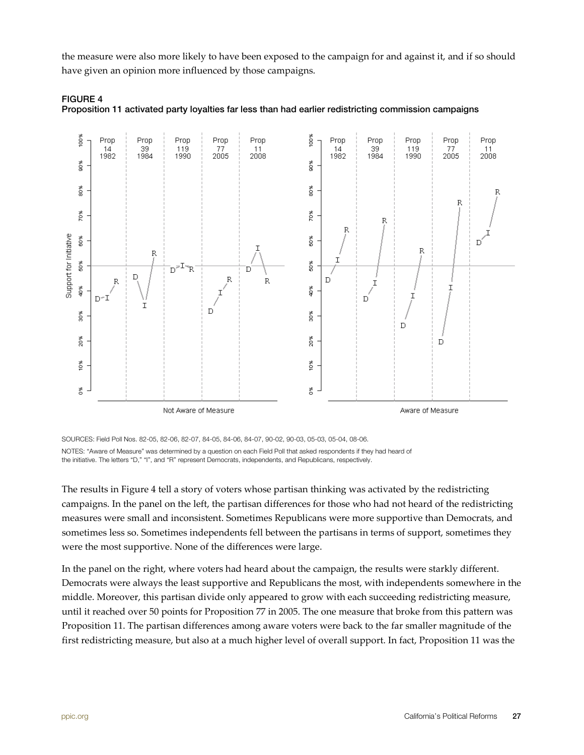the measure were also more likely to have been exposed to the campaign for and against it, and if so should have given an opinion more influenced by those campaigns.

<span id="page-26-0"></span>

Proposition 11 activated party loyalties far less than had earlier redistricting commission campaigns



SOURCES: Field Poll Nos. 82-05, 82-06, 82-07, 84-05, 84-06, 84-07, 90-02, 90-03, 05-03, 05-04, 08-06. NOTES: "Aware of Measure" was determined by a question on each Field Poll that asked respondents if they had heard of the initiative. The letters "D," "I", and "R" represent Democrats, independents, and Republicans, respectively.

The results in Figure 4 tell a story of voters whose partisan thinking was activated by the redistricting campaigns. In the panel on the left, the partisan differences for those who had not heard of the redistricting measures were small and inconsistent. Sometimes Republicans were more supportive than Democrats, and sometimes less so. Sometimes independents fell between the partisans in terms of support, sometimes they were the most supportive. None of the differences were large.

In the panel on the right, where voters had heard about the campaign, the results were starkly different. Democrats were always the least supportive and Republicans the most, with independents somewhere in the middle. Moreover, this partisan divide only appeared to grow with each succeeding redistricting measure, until it reached over 50 points for Proposition 77 in 2005. The one measure that broke from this pattern was Proposition 11. The partisan differences among aware voters were back to the far smaller magnitude of the first redistricting measure, but also at a much higher level of overall support. In fact, Proposition 11 was the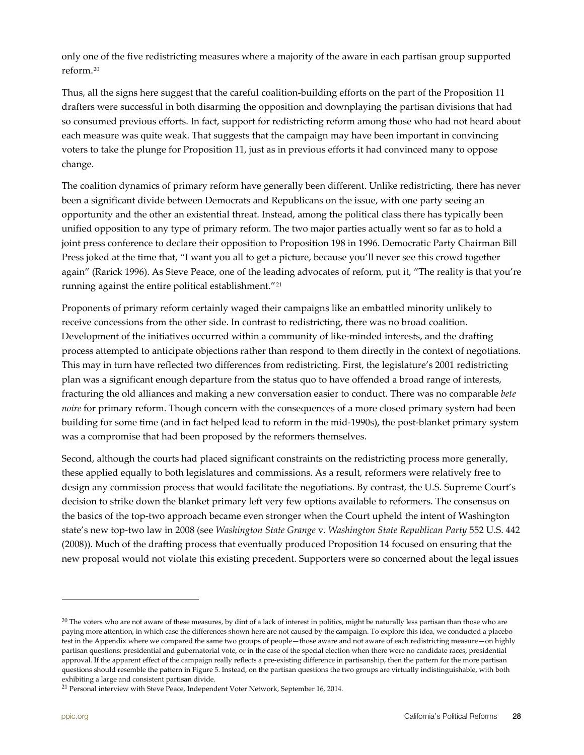only one of the five redistricting measures where a majority of the aware in each partisan group supported reform.[20](#page-27-0)

Thus, all the signs here suggest that the careful coalition-building efforts on the part of the Proposition 11 drafters were successful in both disarming the opposition and downplaying the partisan divisions that had so consumed previous efforts. In fact, support for redistricting reform among those who had not heard about each measure was quite weak. That suggests that the campaign may have been important in convincing voters to take the plunge for Proposition 11, just as in previous efforts it had convinced many to oppose change.

The coalition dynamics of primary reform have generally been different. Unlike redistricting, there has never been a significant divide between Democrats and Republicans on the issue, with one party seeing an opportunity and the other an existential threat. Instead, among the political class there has typically been unified opposition to any type of primary reform. The two major parties actually went so far as to hold a joint press conference to declare their opposition to Proposition 198 in 1996. Democratic Party Chairman Bill Press joked at the time that, "I want you all to get a picture, because you'll never see this crowd together again" (Rarick 1996). As Steve Peace, one of the leading advocates of reform, put it, "The reality is that you're running against the entire political establishment."<sup>[21](#page-27-1)</sup>

Proponents of primary reform certainly waged their campaigns like an embattled minority unlikely to receive concessions from the other side. In contrast to redistricting, there was no broad coalition. Development of the initiatives occurred within a community of like-minded interests, and the drafting process attempted to anticipate objections rather than respond to them directly in the context of negotiations. This may in turn have reflected two differences from redistricting. First, the legislature's 2001 redistricting plan was a significant enough departure from the status quo to have offended a broad range of interests, fracturing the old alliances and making a new conversation easier to conduct. There was no comparable *bete noire* for primary reform. Though concern with the consequences of a more closed primary system had been building for some time (and in fact helped lead to reform in the mid-1990s), the post-blanket primary system was a compromise that had been proposed by the reformers themselves.

Second, although the courts had placed significant constraints on the redistricting process more generally, these applied equally to both legislatures and commissions. As a result, reformers were relatively free to design any commission process that would facilitate the negotiations. By contrast, the U.S. Supreme Court's decision to strike down the blanket primary left very few options available to reformers. The consensus on the basics of the top-two approach became even stronger when the Court upheld the intent of Washington state's new top-two law in 2008 (see *Washington State Grange* v. *Washington State Republican Party* 552 U.S. 442 (2008)). Much of the drafting process that eventually produced Proposition 14 focused on ensuring that the new proposal would not violate this existing precedent. Supporters were so concerned about the legal issues

<span id="page-27-0"></span> $^{20}$  The voters who are not aware of these measures, by dint of a lack of interest in politics, might be naturally less partisan than those who are paying more attention, in which case the differences shown here are not caused by the campaign. To explore this idea, we conducted a placebo test in the Appendix where we compared the same two groups of people—those aware and not aware of each redistricting measure—on highly partisan questions: presidential and gubernatorial vote, or in the case of the special election when there were no candidate races, presidential approval. If the apparent effect of the campaign really reflects a pre-existing difference in partisanship, then the pattern for the more partisan questions should resemble the pattern in Figure 5. Instead, on the partisan questions the two groups are virtually indistinguishable, with both exhibiting a large and consistent partisan divide.

<span id="page-27-1"></span><sup>21</sup> Personal interview with Steve Peace, Independent Voter Network, September 16, 2014.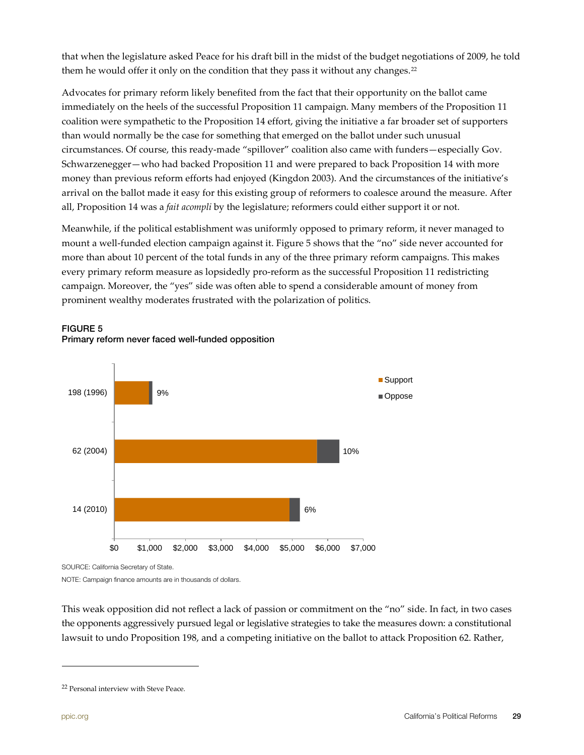that when the legislature asked Peace for his draft bill in the midst of the budget negotiations of 2009, he told them he would offer it only on the condition that they pass it without any changes.<sup>[22](#page-28-1)</sup>

Advocates for primary reform likely benefited from the fact that their opportunity on the ballot came immediately on the heels of the successful Proposition 11 campaign. Many members of the Proposition 11 coalition were sympathetic to the Proposition 14 effort, giving the initiative a far broader set of supporters than would normally be the case for something that emerged on the ballot under such unusual circumstances. Of course, this ready-made "spillover" coalition also came with funders—especially Gov. Schwarzenegger—who had backed Proposition 11 and were prepared to back Proposition 14 with more money than previous reform efforts had enjoyed (Kingdon 2003). And the circumstances of the initiative's arrival on the ballot made it easy for this existing group of reformers to coalesce around the measure. After all, Proposition 14 was a *fait acompli* by the legislature; reformers could either support it or not.

Meanwhile, if the political establishment was uniformly opposed to primary reform, it never managed to mount a well-funded election campaign against it. Figure 5 shows that the "no" side never accounted for more than about 10 percent of the total funds in any of the three primary reform campaigns. This makes every primary reform measure as lopsidedly pro-reform as the successful Proposition 11 redistricting campaign. Moreover, the "yes" side was often able to spend a considerable amount of money from prominent wealthy moderates frustrated with the polarization of politics.

<span id="page-28-0"></span>



SOURCE: California Secretary of State.

NOTE: Campaign finance amounts are in thousands of dollars.

This weak opposition did not reflect a lack of passion or commitment on the "no" side. In fact, in two cases the opponents aggressively pursued legal or legislative strategies to take the measures down: a constitutional lawsuit to undo Proposition 198, and a competing initiative on the ballot to attack Proposition 62. Rather,

<span id="page-28-1"></span><sup>22</sup> Personal interview with Steve Peace.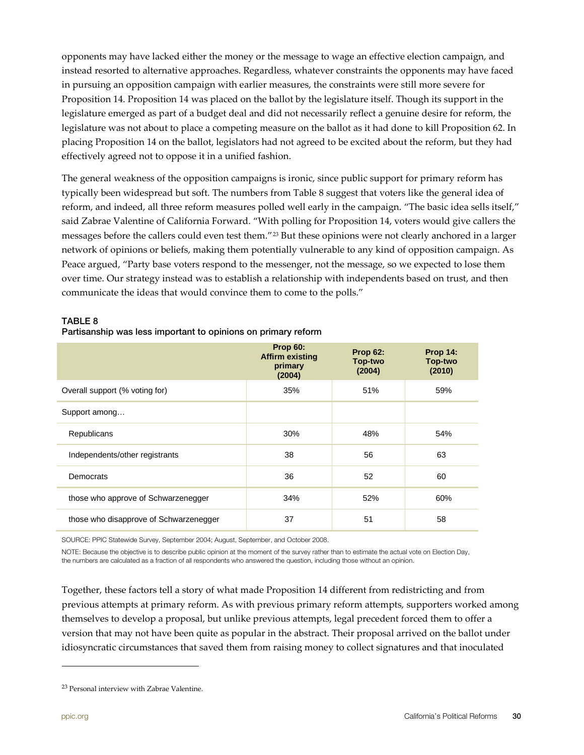opponents may have lacked either the money or the message to wage an effective election campaign, and instead resorted to alternative approaches. Regardless, whatever constraints the opponents may have faced in pursuing an opposition campaign with earlier measures, the constraints were still more severe for Proposition 14. Proposition 14 was placed on the ballot by the legislature itself. Though its support in the legislature emerged as part of a budget deal and did not necessarily reflect a genuine desire for reform, the legislature was not about to place a competing measure on the ballot as it had done to kill Proposition 62. In placing Proposition 14 on the ballot, legislators had not agreed to be excited about the reform, but they had effectively agreed not to oppose it in a unified fashion.

The general weakness of the opposition campaigns is ironic, since public support for primary reform has typically been widespread but soft. The numbers from Table 8 suggest that voters like the general idea of reform, and indeed, all three reform measures polled well early in the campaign. "The basic idea sells itself," said Zabrae Valentine of California Forward. "With polling for Proposition 14, voters would give callers the messages before the callers could even test them."[23](#page-29-1) But these opinions were not clearly anchored in a larger network of opinions or beliefs, making them potentially vulnerable to any kind of opposition campaign. As Peace argued, "Party base voters respond to the messenger, not the message, so we expected to lose them over time. Our strategy instead was to establish a relationship with independents based on trust, and then communicate the ideas that would convince them to come to the polls."

#### <span id="page-29-0"></span>TABLE 8

|  | Partisanship was less important to opinions on primary reform |
|--|---------------------------------------------------------------|
|  |                                                               |

|                                        | <b>Prop 60:</b><br><b>Affirm existing</b><br>primary<br>(2004) | <b>Prop 62:</b><br>Top-two<br>(2004) | <b>Prop 14:</b><br>Top-two<br>(2010) |
|----------------------------------------|----------------------------------------------------------------|--------------------------------------|--------------------------------------|
| Overall support (% voting for)         | 35%                                                            | 51%                                  | 59%                                  |
| Support among                          |                                                                |                                      |                                      |
| Republicans                            | 30%                                                            | 48%                                  | 54%                                  |
| Independents/other registrants         | 38                                                             | 56                                   | 63                                   |
| Democrats                              | 36                                                             | 52                                   | 60                                   |
| those who approve of Schwarzenegger    | 34%                                                            | 52%                                  | 60%                                  |
| those who disapprove of Schwarzenegger | 37                                                             | 51                                   | 58                                   |

SOURCE: [PPIC Statewide Survey, September 2004; August, September, and October 2008.](http://www.ppic.org/main/series.asp?i=12)

NOTE: Because the objective is to describe public opinion at the moment of the survey rather than to estimate the actual vote on Election Day, the numbers are calculated as a fraction of all respondents who answered the question, including those without an opinion.

Together, these factors tell a story of what made Proposition 14 different from redistricting and from previous attempts at primary reform. As with previous primary reform attempts, supporters worked among themselves to develop a proposal, but unlike previous attempts, legal precedent forced them to offer a version that may not have been quite as popular in the abstract. Their proposal arrived on the ballot under idiosyncratic circumstances that saved them from raising money to collect signatures and that inoculated

<span id="page-29-1"></span><sup>23</sup> Personal interview with Zabrae Valentine.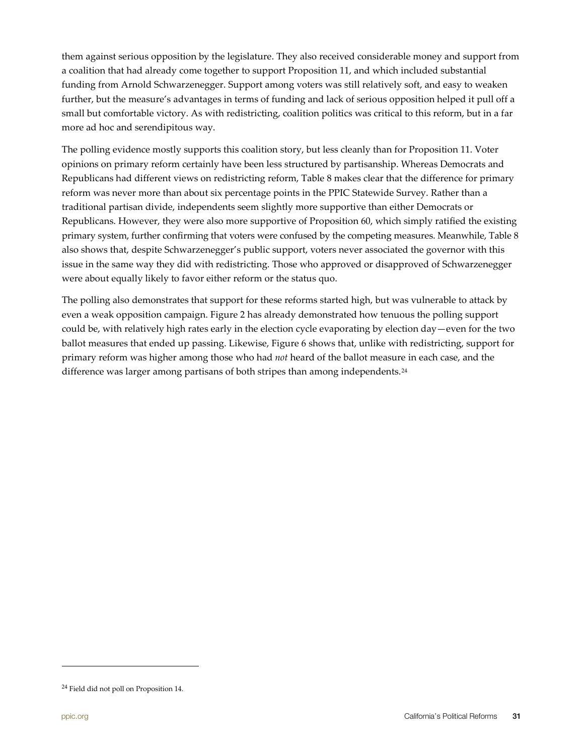them against serious opposition by the legislature. They also received considerable money and support from a coalition that had already come together to support Proposition 11, and which included substantial funding from Arnold Schwarzenegger. Support among voters was still relatively soft, and easy to weaken further, but the measure's advantages in terms of funding and lack of serious opposition helped it pull off a small but comfortable victory. As with redistricting, coalition politics was critical to this reform, but in a far more ad hoc and serendipitous way.

The polling evidence mostly supports this coalition story, but less cleanly than for Proposition 11. Voter opinions on primary reform certainly have been less structured by partisanship. Whereas Democrats and Republicans had different views on redistricting reform, Table 8 makes clear that the difference for primary reform was never more than about six percentage points in the PPIC Statewide Survey. Rather than a traditional partisan divide, independents seem slightly more supportive than either Democrats or Republicans. However, they were also more supportive of Proposition 60, which simply ratified the existing primary system, further confirming that voters were confused by the competing measures. Meanwhile, Table 8 also shows that, despite Schwarzenegger's public support, voters never associated the governor with this issue in the same way they did with redistricting. Those who approved or disapproved of Schwarzenegger were about equally likely to favor either reform or the status quo.

The polling also demonstrates that support for these reforms started high, but was vulnerable to attack by even a weak opposition campaign. Figure 2 has already demonstrated how tenuous the polling support could be, with relatively high rates early in the election cycle evaporating by election day—even for the two ballot measures that ended up passing. Likewise, Figure 6 shows that, unlike with redistricting, support for primary reform was higher among those who had *not* heard of the ballot measure in each case, and the difference was larger among partisans of both stripes than among independents.<sup>[24](#page-30-0)</sup>

<span id="page-30-0"></span><sup>24</sup> Field did not poll on Proposition 14.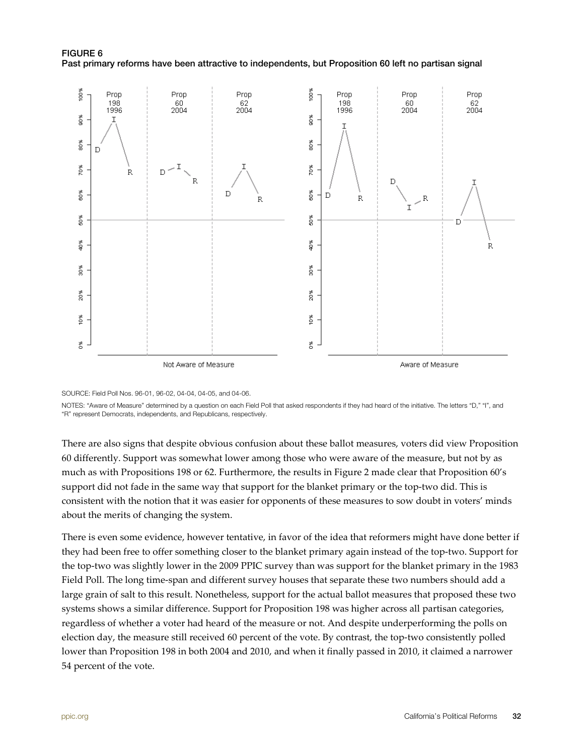<span id="page-31-0"></span>



SOURCE: Field Poll Nos. 96-01, 96-02, 04-04, 04-05, and 04-06.

NOTES: "Aware of Measure" determined by a question on each Field Poll that asked respondents if they had heard of the initiative. The letters "D," "I", and "R" represent Democrats, independents, and Republicans, respectively.

There are also signs that despite obvious confusion about these ballot measures, voters did view Proposition 60 differently. Support was somewhat lower among those who were aware of the measure, but not by as much as with Propositions 198 or 62. Furthermore, the results in Figure 2 made clear that Proposition 60's support did not fade in the same way that support for the blanket primary or the top-two did. This is consistent with the notion that it was easier for opponents of these measures to sow doubt in voters' minds about the merits of changing the system.

There is even some evidence, however tentative, in favor of the idea that reformers might have done better if they had been free to offer something closer to the blanket primary again instead of the top-two. Support for the top-two was slightly lower in the 2009 PPIC survey than was support for the blanket primary in the 1983 Field Poll. The long time-span and different survey houses that separate these two numbers should add a large grain of salt to this result. Nonetheless, support for the actual ballot measures that proposed these two systems shows a similar difference. Support for Proposition 198 was higher across all partisan categories, regardless of whether a voter had heard of the measure or not. And despite underperforming the polls on election day, the measure still received 60 percent of the vote. By contrast, the top-two consistently polled lower than Proposition 198 in both 2004 and 2010, and when it finally passed in 2010, it claimed a narrower 54 percent of the vote.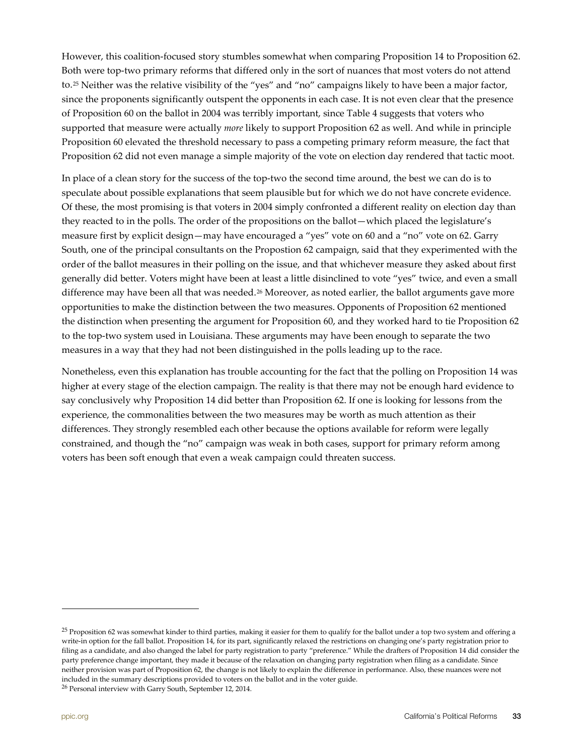However, this coalition-focused story stumbles somewhat when comparing Proposition 14 to Proposition 62. Both were top-two primary reforms that differed only in the sort of nuances that most voters do not attend to.[25](#page-32-0) Neither was the relative visibility of the "yes" and "no" campaigns likely to have been a major factor, since the proponents significantly outspent the opponents in each case. It is not even clear that the presence of Proposition 60 on the ballot in 2004 was terribly important, since Table 4 suggests that voters who supported that measure were actually *more* likely to support Proposition 62 as well. And while in principle Proposition 60 elevated the threshold necessary to pass a competing primary reform measure, the fact that Proposition 62 did not even manage a simple majority of the vote on election day rendered that tactic moot.

In place of a clean story for the success of the top-two the second time around, the best we can do is to speculate about possible explanations that seem plausible but for which we do not have concrete evidence. Of these, the most promising is that voters in 2004 simply confronted a different reality on election day than they reacted to in the polls. The order of the propositions on the ballot—which placed the legislature's measure first by explicit design—may have encouraged a "yes" vote on 60 and a "no" vote on 62. Garry South, one of the principal consultants on the Propostion 62 campaign, said that they experimented with the order of the ballot measures in their polling on the issue, and that whichever measure they asked about first generally did better. Voters might have been at least a little disinclined to vote "yes" twice, and even a small difference may have been all that was needed.<sup>[26](#page-32-1)</sup> Moreover, as noted earlier, the ballot arguments gave more opportunities to make the distinction between the two measures. Opponents of Proposition 62 mentioned the distinction when presenting the argument for Proposition 60, and they worked hard to tie Proposition 62 to the top-two system used in Louisiana. These arguments may have been enough to separate the two measures in a way that they had not been distinguished in the polls leading up to the race.

Nonetheless, even this explanation has trouble accounting for the fact that the polling on Proposition 14 was higher at every stage of the election campaign. The reality is that there may not be enough hard evidence to say conclusively why Proposition 14 did better than Proposition 62. If one is looking for lessons from the experience, the commonalities between the two measures may be worth as much attention as their differences. They strongly resembled each other because the options available for reform were legally constrained, and though the "no" campaign was weak in both cases, support for primary reform among voters has been soft enough that even a weak campaign could threaten success.

<span id="page-32-1"></span><span id="page-32-0"></span> $^{25}$  Proposition 62 was somewhat kinder to third parties, making it easier for them to qualify for the ballot under a top two system and offering a write-in option for the fall ballot. Proposition 14, for its part, significantly relaxed the restrictions on changing one's party registration prior to filing as a candidate, and also changed the label for party registration to party "preference." While the drafters of Proposition 14 did consider the party preference change important, they made it because of the relaxation on changing party registration when filing as a candidate. Since neither provision was part of Proposition 62, the change is not likely to explain the difference in performance. Also, these nuances were not included in the summary descriptions provided to voters on the ballot and in the voter guide. <sup>26</sup> Personal interview with Garry South, September 12, 2014.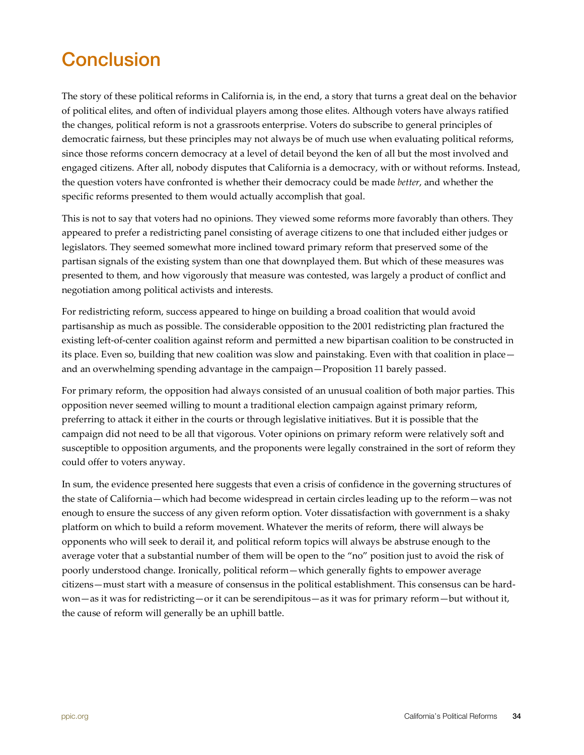# <span id="page-33-0"></span>**Conclusion**

The story of these political reforms in California is, in the end, a story that turns a great deal on the behavior of political elites, and often of individual players among those elites. Although voters have always ratified the changes, political reform is not a grassroots enterprise. Voters do subscribe to general principles of democratic fairness, but these principles may not always be of much use when evaluating political reforms, since those reforms concern democracy at a level of detail beyond the ken of all but the most involved and engaged citizens. After all, nobody disputes that California is a democracy, with or without reforms. Instead, the question voters have confronted is whether their democracy could be made *better*, and whether the specific reforms presented to them would actually accomplish that goal.

This is not to say that voters had no opinions. They viewed some reforms more favorably than others. They appeared to prefer a redistricting panel consisting of average citizens to one that included either judges or legislators. They seemed somewhat more inclined toward primary reform that preserved some of the partisan signals of the existing system than one that downplayed them. But which of these measures was presented to them, and how vigorously that measure was contested, was largely a product of conflict and negotiation among political activists and interests.

For redistricting reform, success appeared to hinge on building a broad coalition that would avoid partisanship as much as possible. The considerable opposition to the 2001 redistricting plan fractured the existing left-of-center coalition against reform and permitted a new bipartisan coalition to be constructed in its place. Even so, building that new coalition was slow and painstaking. Even with that coalition in place and an overwhelming spending advantage in the campaign—Proposition 11 barely passed.

For primary reform, the opposition had always consisted of an unusual coalition of both major parties. This opposition never seemed willing to mount a traditional election campaign against primary reform, preferring to attack it either in the courts or through legislative initiatives. But it is possible that the campaign did not need to be all that vigorous. Voter opinions on primary reform were relatively soft and susceptible to opposition arguments, and the proponents were legally constrained in the sort of reform they could offer to voters anyway.

In sum, the evidence presented here suggests that even a crisis of confidence in the governing structures of the state of California—which had become widespread in certain circles leading up to the reform—was not enough to ensure the success of any given reform option. Voter dissatisfaction with government is a shaky platform on which to build a reform movement. Whatever the merits of reform, there will always be opponents who will seek to derail it, and political reform topics will always be abstruse enough to the average voter that a substantial number of them will be open to the "no" position just to avoid the risk of poorly understood change. Ironically, political reform—which generally fights to empower average citizens—must start with a measure of consensus in the political establishment. This consensus can be hardwon—as it was for redistricting—or it can be serendipitous—as it was for primary reform—but without it, the cause of reform will generally be an uphill battle.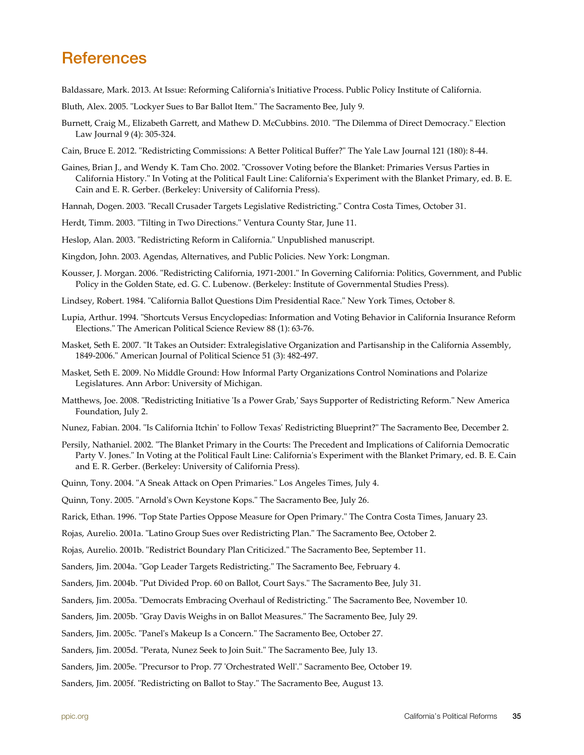## <span id="page-34-0"></span>**References**

Baldassare, Mark. 2013. At Issue: [Reforming California's Initiative Process. Public Policy Institute of California.](http://www.ppic.org/main/publication.asp?i=1071) 

- Bluth, Alex. 2005. "Lockyer Sues to Bar Ballot Item." The Sacramento Bee, July 9.
- Burnett, Craig M., Elizabeth Garrett, and Mathew D. McCubbins. 2010. "The Dilemma of Direct Democracy." Election Law Journal 9 (4): 305-324.
- Cain, Bruce E. 2012. "Redistricting Commissions: A Better Political Buffer?" The Yale Law Journal 121 (180): 8-44.
- Gaines, Brian J., and Wendy K. Tam Cho. 2002. "Crossover Voting before the Blanket: Primaries Versus Parties in California History." In Voting at the Political Fault Line: California's Experiment with the Blanket Primary, ed. B. E. Cain and E. R. Gerber. (Berkeley: University of California Press).

Hannah, Dogen. 2003. "Recall Crusader Targets Legislative Redistricting." Contra Costa Times, October 31.

Herdt, Timm. 2003. "Tilting in Two Directions." Ventura County Star, June 11.

Heslop, Alan. 2003. "Redistricting Reform in California." Unpublished manuscript.

- Kingdon, John. 2003. Agendas, Alternatives, and Public Policies. New York: Longman.
- Kousser, J. Morgan. 2006. "Redistricting California, 1971-2001." In Governing California: Politics, Government, and Public Policy in the Golden State, ed. G. C. Lubenow. (Berkeley: Institute of Governmental Studies Press).
- Lindsey, Robert. 1984. "California Ballot Questions Dim Presidential Race." New York Times, October 8.
- Lupia, Arthur. 1994. "Shortcuts Versus Encyclopedias: Information and Voting Behavior in California Insurance Reform Elections." The American Political Science Review 88 (1): 63-76.
- Masket, Seth E. 2007. "It Takes an Outsider: Extralegislative Organization and Partisanship in the California Assembly, 1849-2006." American Journal of Political Science 51 (3): 482-497.
- Masket, Seth E. 2009. No Middle Ground: How Informal Party Organizations Control Nominations and Polarize Legislatures. Ann Arbor: University of Michigan.
- Matthews, Joe. 2008. "Redistricting Initiative 'Is a Power Grab,' Says Supporter of Redistricting Reform." New America Foundation, July 2.
- Nunez, Fabian. 2004. "Is California Itchin' to Follow Texas' Redistricting Blueprint?" The Sacramento Bee, December 2.
- Persily, Nathaniel. 2002. "The Blanket Primary in the Courts: The Precedent and Implications of California Democratic Party V. Jones." In Voting at the Political Fault Line: California's Experiment with the Blanket Primary, ed. B. E. Cain and E. R. Gerber. (Berkeley: University of California Press).
- Quinn, Tony. 2004. "A Sneak Attack on Open Primaries." Los Angeles Times, July 4.
- Quinn, Tony. 2005. "Arnold's Own Keystone Kops." The Sacramento Bee, July 26.
- Rarick, Ethan. 1996. "Top State Parties Oppose Measure for Open Primary." The Contra Costa Times, January 23.
- Rojas, Aurelio. 2001a. "Latino Group Sues over Redistricting Plan." The Sacramento Bee, October 2.
- Rojas, Aurelio. 2001b. "Redistrict Boundary Plan Criticized." The Sacramento Bee, September 11.
- Sanders, Jim. 2004a. "Gop Leader Targets Redistricting." The Sacramento Bee, February 4.
- Sanders, Jim. 2004b. "Put Divided Prop. 60 on Ballot, Court Says." The Sacramento Bee, July 31.
- Sanders, Jim. 2005a. "Democrats Embracing Overhaul of Redistricting." The Sacramento Bee, November 10.
- Sanders, Jim. 2005b. "Gray Davis Weighs in on Ballot Measures." The Sacramento Bee, July 29.
- Sanders, Jim. 2005c. "Panel's Makeup Is a Concern." The Sacramento Bee, October 27.
- Sanders, Jim. 2005d. "Perata, Nunez Seek to Join Suit." The Sacramento Bee, July 13.
- Sanders, Jim. 2005e. "Precursor to Prop. 77 'Orchestrated Well'." Sacramento Bee, October 19.
- Sanders, Jim. 2005f. "Redistricting on Ballot to Stay." The Sacramento Bee, August 13.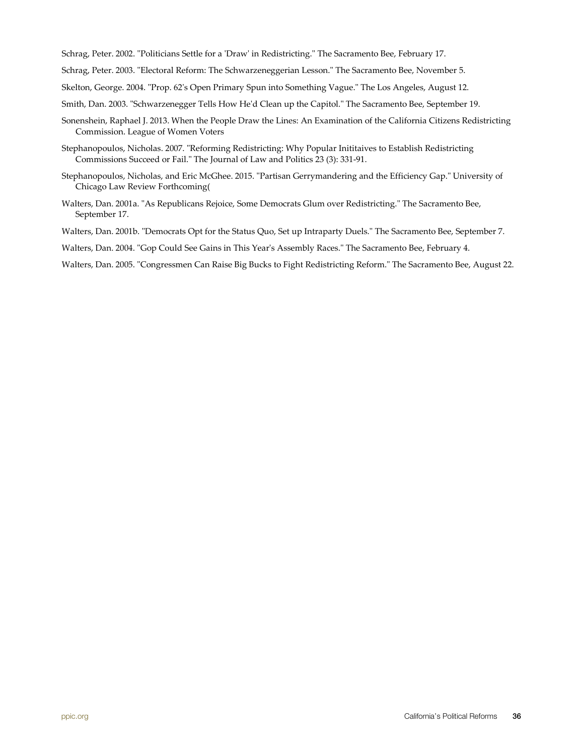Schrag, Peter. 2002. "Politicians Settle for a 'Draw' in Redistricting." The Sacramento Bee, February 17.

Schrag, Peter. 2003. "Electoral Reform: The Schwarzeneggerian Lesson." The Sacramento Bee, November 5.

Skelton, George. 2004. "Prop. 62's Open Primary Spun into Something Vague." The Los Angeles, August 12.

Smith, Dan. 2003. "Schwarzenegger Tells How He'd Clean up the Capitol." The Sacramento Bee, September 19.

- Sonenshein, Raphael J. 2013. When the People Draw the Lines: An Examination of the California Citizens Redistricting Commission. League of Women Voters
- Stephanopoulos, Nicholas. 2007. "Reforming Redistricting: Why Popular Inititaives to Establish Redistricting Commissions Succeed or Fail." The Journal of Law and Politics 23 (3): 331-91.
- Stephanopoulos, Nicholas, and Eric McGhee. 2015. "Partisan Gerrymandering and the Efficiency Gap." University of Chicago Law Review Forthcoming(
- Walters, Dan. 2001a. "As Republicans Rejoice, Some Democrats Glum over Redistricting." The Sacramento Bee, September 17.
- Walters, Dan. 2001b. "Democrats Opt for the Status Quo, Set up Intraparty Duels." The Sacramento Bee, September 7.

Walters, Dan. 2004. "Gop Could See Gains in This Year's Assembly Races." The Sacramento Bee, February 4.

Walters, Dan. 2005. "Congressmen Can Raise Big Bucks to Fight Redistricting Reform." The Sacramento Bee, August 22.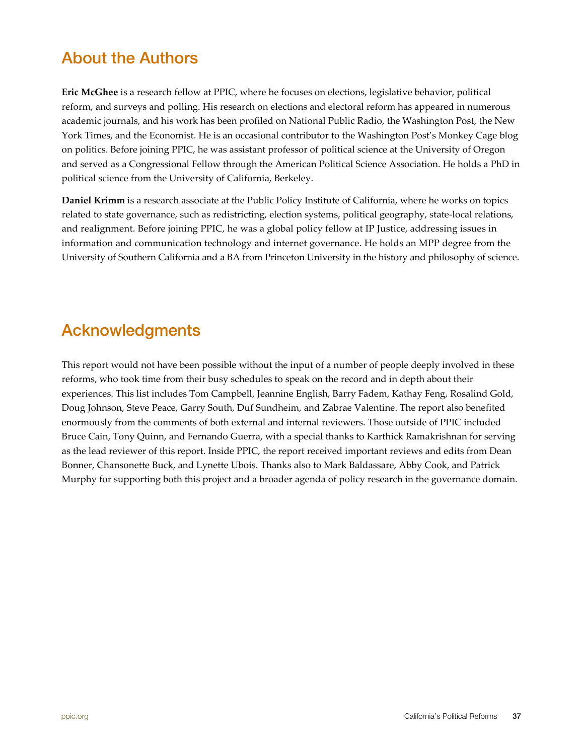## <span id="page-36-0"></span>About the Authors

**Eric McGhee** is a research fellow at PPIC, where he focuses on elections, legislative behavior, political reform, and surveys and polling. His research on elections and electoral reform has appeared in numerous academic journals, and his work has been profiled on National Public Radio, the Washington Post, the New York Times, and the Economist. He is an occasional contributor to the Washington Post's Monkey Cage blog on politics. Before joining PPIC, he was assistant professor of political science at the University of Oregon and served as a Congressional Fellow through the American Political Science Association. He holds a PhD in political science from the University of California, Berkeley.

**Daniel Krimm** is a research associate at the Public Policy Institute of California, where he works on topics related to state governance, such as redistricting, election systems, political geography, state-local relations, and realignment. Before joining PPIC, he was a global policy fellow at IP Justice, addressing issues in information and communication technology and internet governance. He holds an MPP degree from the University of Southern California and a BA from Princeton University in the history and philosophy of science.

## <span id="page-36-1"></span>Acknowledgments

This report would not have been possible without the input of a number of people deeply involved in these reforms, who took time from their busy schedules to speak on the record and in depth about their experiences. This list includes Tom Campbell, Jeannine English, Barry Fadem, Kathay Feng, Rosalind Gold, Doug Johnson, Steve Peace, Garry South, Duf Sundheim, and Zabrae Valentine. The report also benefited enormously from the comments of both external and internal reviewers. Those outside of PPIC included Bruce Cain, Tony Quinn, and Fernando Guerra, with a special thanks to Karthick Ramakrishnan for serving as the lead reviewer of this report. Inside PPIC, the report received important reviews and edits from Dean Bonner, Chansonette Buck, and Lynette Ubois. Thanks also to Mark Baldassare, Abby Cook, and Patrick Murphy for supporting both this project and a broader agenda of policy research in the governance domain.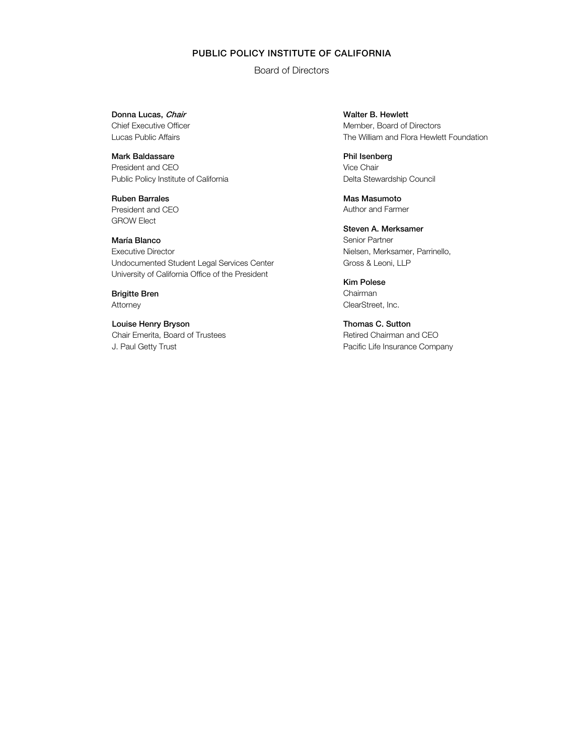#### PUBLIC POLICY INSTITUTE OF CALIFORNIA

Board of Directors

Donna Lucas, Chair Chief Executive Officer Lucas Public Affairs

Mark Baldassare President and CEO Public Policy Institute of California

Ruben Barrales President and CEO GROW Elect

Brigitte Bren

María Blanco Executive Director Undocumented Student Legal Services Center University of California Office of the President

Attorney Louise Henry Bryson Chair Emerita, Board of Trustees J. Paul Getty Trust

Walter B. Hewlett Member, Board of Directors The William and Flora Hewlett Foundation

Phil Isenberg Vice Chair Delta Stewardship Council

Mas Masumoto Author and Farmer

Steven A. Merksamer Senior Partner Nielsen, Merksamer, Parrinello, Gross & Leoni, LLP

Kim Polese Chairman ClearStreet, Inc.

Thomas C. Sutton Retired Chairman and CEO Pacific Life Insurance Company